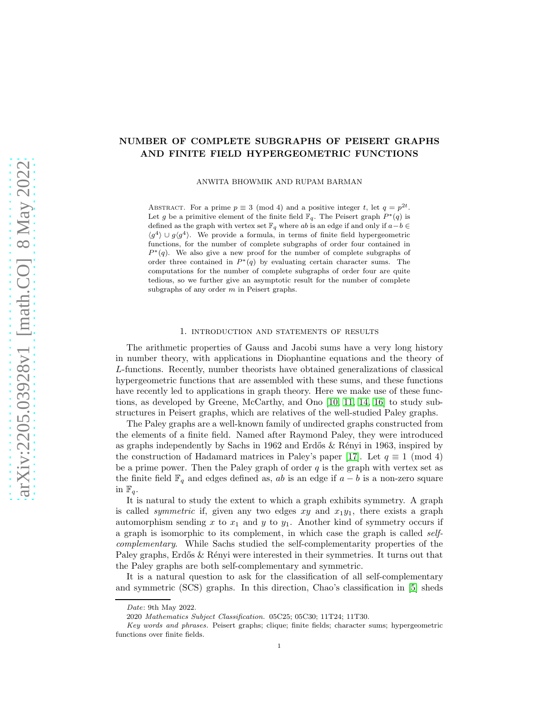# NUMBER OF COMPLETE SUBGRAPHS OF PEISERT GRAPHS AND FINITE FIELD HYPERGEOMETRIC FUNCTIONS

ANWITA BHOWMIK AND RUPAM BARMAN

ABSTRACT. For a prime  $p \equiv 3 \pmod{4}$  and a positive integer t, let  $q = p^{2t}$ . Let g be a primitive element of the finite field  $\mathbb{F}_q$ . The Peisert graph  $P^*(q)$  is defined as the graph with vertex set  $\mathbb{F}_q$  where  $ab$  is an edge if and only if  $a-b \in$  $\langle g^4 \rangle \cup g \langle g^4 \rangle$ . We provide a formula, in terms of finite field hypergeometric functions, for the number of complete subgraphs of order four contained in  $P^*(q)$ . We also give a new proof for the number of complete subgraphs of order three contained in  $P^*(q)$  by evaluating certain character sums. The computations for the number of complete subgraphs of order four are quite tedious, so we further give an asymptotic result for the number of complete subgraphs of any order  $m$  in Peisert graphs.

#### 1. introduction and statements of results

The arithmetic properties of Gauss and Jacobi sums have a very long history in number theory, with applications in Diophantine equations and the theory of L-functions. Recently, number theorists have obtained generalizations of classical hypergeometric functions that are assembled with these sums, and these functions have recently led to applications in graph theory. Here we make use of these functions, as developed by Greene, McCarthy, and Ono [\[10,](#page-18-0) [11,](#page-18-1) [14,](#page-18-2) [16\]](#page-18-3) to study substructures in Peisert graphs, which are relatives of the well-studied Paley graphs.

The Paley graphs are a well-known family of undirected graphs constructed from the elements of a finite field. Named after Raymond Paley, they were introduced as graphs independently by Sachs in 1962 and Erdős  $\&$  Rényi in 1963, inspired by the construction of Hadamard matrices in Paley's paper [\[17\]](#page-19-0). Let  $q \equiv 1 \pmod{4}$ be a prime power. Then the Paley graph of order  $q$  is the graph with vertex set as the finite field  $\mathbb{F}_q$  and edges defined as, ab is an edge if  $a - b$  is a non-zero square in  $\mathbb{F}_q$ .

It is natural to study the extent to which a graph exhibits symmetry. A graph is called *symmetric* if, given any two edges  $xy$  and  $x_1y_1$ , there exists a graph automorphism sending x to  $x_1$  and y to  $y_1$ . Another kind of symmetry occurs if a graph is isomorphic to its complement, in which case the graph is called *selfcomplementary*. While Sachs studied the self-complementarity properties of the Paley graphs, Erdős & Rényi were interested in their symmetries. It turns out that the Paley graphs are both self-complementary and symmetric.

It is a natural question to ask for the classification of all self-complementary and symmetric (SCS) graphs. In this direction, Chao's classification in [\[5\]](#page-18-4) sheds

Date: 9th May 2022.

<sup>2020</sup> Mathematics Subject Classification. 05C25; 05C30; 11T24; 11T30.

Key words and phrases. Peisert graphs; clique; finite fields; character sums; hypergeometric functions over finite fields.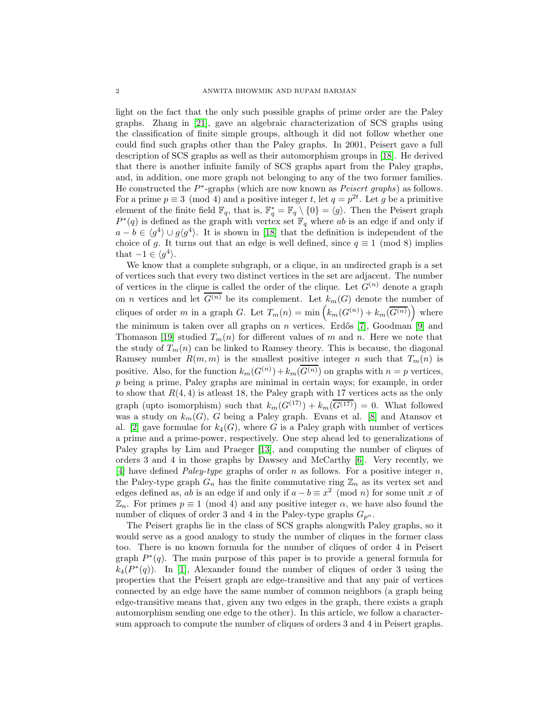light on the fact that the only such possible graphs of prime order are the Paley graphs. Zhang in [\[21\]](#page-19-1), gave an algebraic characterization of SCS graphs using the classification of finite simple groups, although it did not follow whether one could find such graphs other than the Paley graphs. In 2001, Peisert gave a full description of SCS graphs as well as their automorphism groups in [\[18\]](#page-19-2). He derived that there is another infinite family of SCS graphs apart from the Paley graphs, and, in addition, one more graph not belonging to any of the two former families. He constructed the  $P^*$ -graphs (which are now known as *Peisert graphs*) as follows. For a prime  $p \equiv 3 \pmod{4}$  and a positive integer t, let  $q = p^{2t}$ . Let g be a primitive element of the finite field  $\mathbb{F}_q$ , that is,  $\mathbb{F}_q^* = \mathbb{F}_q \setminus \{0\} = \langle g \rangle$ . Then the Peisert graph  $P^*(q)$  is defined as the graph with vertex set  $\mathbb{F}_q$  where ab is an edge if and only if  $a - b \in \langle g^4 \rangle \cup g \langle g^4 \rangle$ . It is shown in [\[18\]](#page-19-2) that the definition is independent of the choice of g. It turns out that an edge is well defined, since  $q \equiv 1 \pmod{8}$  implies that  $-1 \in \langle g^4 \rangle$ .

We know that a complete subgraph, or a clique, in an undirected graph is a set of vertices such that every two distinct vertices in the set are adjacent. The number of vertices in the clique is called the order of the clique. Let  $G^{(n)}$  denote a graph on *n* vertices and let  $\overline{G^{(n)}}$  be its complement. Let  $k_m(G)$  denote the number of cliques of order m in a graph G. Let  $T_m(n) = \min \left( k_m(G^{(n)}) + k_m(\overline{G^{(n)}}) \right)$  where the minimum is taken over all graphs on  $n$  vertices. Erdős [\[7\]](#page-18-5), Goodman [\[9\]](#page-18-6) and Thomason [\[19\]](#page-19-3) studied  $T_m(n)$  for different values of m and n. Here we note that the study of  $T_m(n)$  can be linked to Ramsey theory. This is because, the diagonal Ramsey number  $R(m, m)$  is the smallest positive integer n such that  $T_m(n)$  is positive. Also, for the function  $k_m(G^{(n)}) + k_m(G^{(n)})$  on graphs with  $n = p$  vertices, p being a prime, Paley graphs are minimal in certain ways; for example, in order to show that  $R(4, 4)$  is at least 18, the Paley graph with 17 vertices acts as the only graph (upto isomorphism) such that  $k_m(G^{(17)}) + k_m(\overline{G^{(17)}}) = 0$ . What followed was a study on  $k_m(G)$ , G being a Paley graph. Evans et al. [\[8\]](#page-18-7) and Atansov et al. [\[2\]](#page-18-8) gave formulae for  $k_4(G)$ , where G is a Paley graph with number of vertices a prime and a prime-power, respectively. One step ahead led to generalizations of Paley graphs by Lim and Praeger [\[13\]](#page-18-9), and computing the number of cliques of orders 3 and 4 in those graphs by Dawsey and McCarthy [\[6\]](#page-18-10). Very recently, we [\[4\]](#page-18-11) have defined *Paley-type* graphs of order n as follows. For a positive integer n, the Paley-type graph  $G_n$  has the finite commutative ring  $\mathbb{Z}_n$  as its vertex set and edges defined as, ab is an edge if and only if  $a - b \equiv x^2 \pmod{n}$  for some unit x of  $\mathbb{Z}_n$ . For primes  $p \equiv 1 \pmod{4}$  and any positive integer  $\alpha$ , we have also found the number of cliques of order 3 and 4 in the Paley-type graphs  $G_{p^{\alpha}}$ .

The Peisert graphs lie in the class of SCS graphs alongwith Paley graphs, so it would serve as a good analogy to study the number of cliques in the former class too. There is no known formula for the number of cliques of order 4 in Peisert graph  $P^*(q)$ . The main purpose of this paper is to provide a general formula for  $k_4(P^*(q))$ . In [\[1\]](#page-18-12), Alexander found the number of cliques of order 3 using the properties that the Peisert graph are edge-transitive and that any pair of vertices connected by an edge have the same number of common neighbors (a graph being edge-transitive means that, given any two edges in the graph, there exists a graph automorphism sending one edge to the other). In this article, we follow a charactersum approach to compute the number of cliques of orders 3 and 4 in Peisert graphs.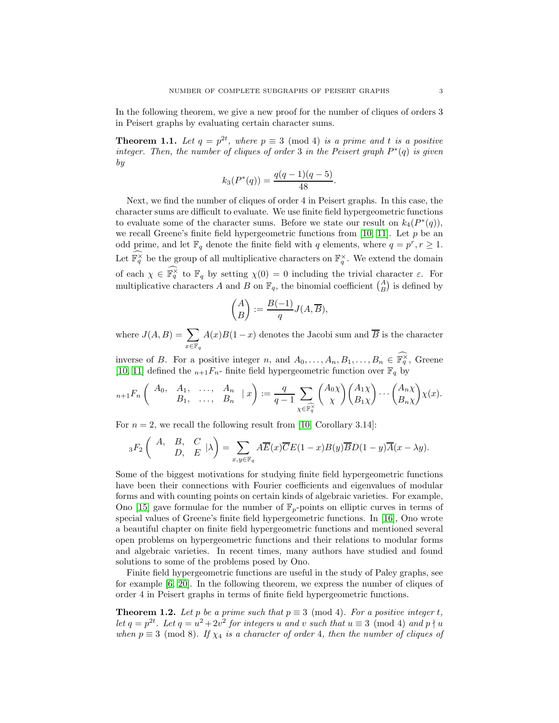In the following theorem, we give a new proof for the number of cliques of orders 3 in Peisert graphs by evaluating certain character sums.

<span id="page-2-1"></span>**Theorem 1.1.** Let  $q = p^{2t}$ , where  $p \equiv 3 \pmod{4}$  *is a prime and t is a positive integer. Then, the number of cliques of order* 3 *in the Peisert graph*  $P^*(q)$  *is given by*

$$
k_3(P^*(q)) = \frac{q(q-1)(q-5)}{48}.
$$

Next, we find the number of cliques of order 4 in Peisert graphs. In this case, the character sums are difficult to evaluate. We use finite field hypergeometric functions to evaluate some of the character sums. Before we state our result on  $k_4(P^*(q))$ , we recall Greene's finite field hypergeometric functions from [\[10,](#page-18-0) [11\]](#page-18-1). Let  $p$  be an odd prime, and let  $\mathbb{F}_q$  denote the finite field with q elements, where  $q = p^r, r \ge 1$ . Let  $\mathbb{F}_q^{\times}$  be the group of all multiplicative characters on  $\mathbb{F}_q^{\times}$ . We extend the domain of each  $\chi \in \mathbb{F}_q^{\times}$  to  $\mathbb{F}_q$  by setting  $\chi(0) = 0$  including the trivial character  $\varepsilon$ . For multiplicative characters A and B on  $\mathbb{F}_q$ , the binomial coefficient  $\binom{A}{B}$  is defined by

$$
\binom{A}{B}:=\frac{B(-1)}{q}J(A,\overline{B}),
$$

where  $J(A, B) = \sum$  $x \in \mathbb{F}_q$  $A(x)B(1-x)$  denotes the Jacobi sum and B is the character

inverse of B. For a positive integer n, and  $A_0, \ldots, A_n, B_1, \ldots, B_n \in \mathbb{F}_q^{\times}$ , Greene [\[10,](#page-18-0) [11\]](#page-18-1) defined the  $n+1F_n$ - finite field hypergeometric function over  $\mathbb{F}_q$  by

$$
{}_{n+1}F_n\left(\begin{array}{cccc} A_0, & A_1, & \dots, & A_n \\ & B_1, & \dots, & B_n \end{array} \mid x\right):=\frac{q}{q-1}\sum_{\chi\in\mathbb{F}_q^{\times}}\binom{A_0\chi}{\chi}\binom{A_1\chi}{B_1\chi}\cdots\binom{A_n\chi}{B_n\chi}\chi(x).
$$

For  $n = 2$ , we recall the following result from [\[10,](#page-18-0) Corollary 3.14]:

$$
{}_3F_2\left(\begin{array}{cc}A, & B, & C \\ & D, & E\end{array}|\lambda\right)=\sum_{x,y\in\mathbb{F}_q}A\overline{E}(x)\overline{C}E(1-x)B(y)\overline{B}D(1-y)\overline{A}(x-\lambda y).
$$

Some of the biggest motivations for studying finite field hypergeometric functions have been their connections with Fourier coefficients and eigenvalues of modular forms and with counting points on certain kinds of algebraic varieties. For example, Ono [\[15\]](#page-18-13) gave formulae for the number of  $\mathbb{F}_p$ -points on elliptic curves in terms of special values of Greene's finite field hypergeometric functions. In [\[16\]](#page-18-3), Ono wrote a beautiful chapter on finite field hypergeometric functions and mentioned several open problems on hypergeometric functions and their relations to modular forms and algebraic varieties. In recent times, many authors have studied and found solutions to some of the problems posed by Ono.

Finite field hypergeometric functions are useful in the study of Paley graphs, see for example [\[6,](#page-18-10) [20\]](#page-19-4). In the following theorem, we express the number of cliques of order 4 in Peisert graphs in terms of finite field hypergeometric functions.

<span id="page-2-0"></span>**Theorem 1.2.** Let p be a prime such that  $p \equiv 3 \pmod{4}$ . For a positive integer t, *let*  $q = p^{2t}$ *. Let*  $q = u^2 + 2v^2$  *for integers* u *and* v *such that*  $u \equiv 3 \pmod{4}$  *and*  $p \nmid u$ *when*  $p \equiv 3 \pmod{8}$ *. If*  $\chi_4$  *is a character of order* 4*, then the number of cliques of*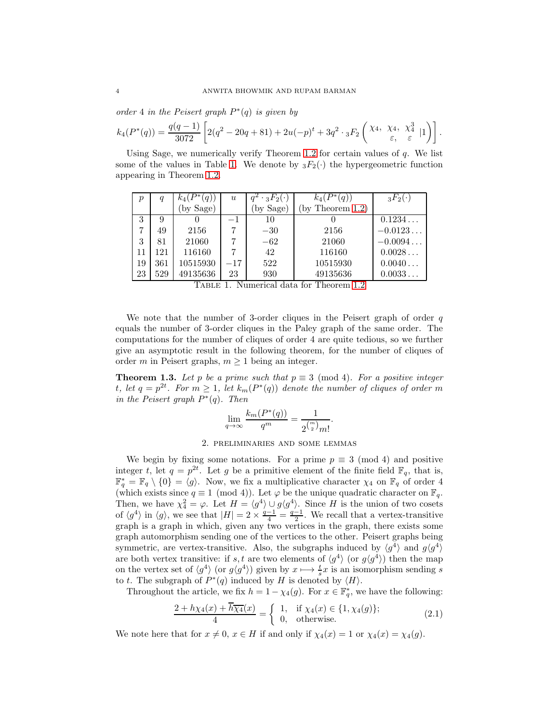*order* 4 *in the Peisert graph*  $P^*(q)$  *is given by* 

$$
k_4(P^*(q)) = \frac{q(q-1)}{3072} \left[ 2(q^2 - 20q + 81) + 2u(-p)^t + 3q^2 \cdot {}_3F_2 \left( \begin{matrix} \chi_4, & \chi_4, & \chi_4^3 \\ \varepsilon, & \varepsilon \end{matrix} \right| 1 \right) \right].
$$

Using Sage, we numerically verify Theorem [1](#page-2-0).2 for certain values of  $q$ . We list some of the values in Table [1.](#page-3-0) We denote by  ${}_3F_2(\cdot)$  the hypergeometric function appearing in Theorem [1.2.](#page-2-0)

| р  | q   |          | $\boldsymbol{u}$ | $\cdot$ 3 $F_2(\cdot)$ | (q)                | $_3F_2(\cdot)$ |
|----|-----|----------|------------------|------------------------|--------------------|----------------|
|    |     | by Sage) |                  | by Sage)               | by Theorem $1.2$ ) |                |
| 3  | 9   |          | $-1$             | 10                     |                    | 0.1234         |
|    | 49  | 2156     |                  | $-30$                  | 2156               | $-0.0123$      |
| 3  | 81  | 21060    |                  | $-62$                  | 21060              | $-0.0094$      |
| 11 | 121 | 116160   |                  | 42                     | 116160             | 0.0028         |
| 19 | 361 | 10515930 | $-17$            | 522                    | 10515930           | 0.0040         |
| 23 | 529 | 49135636 | 23               | 930                    | 49135636           | 0.0033         |

<span id="page-3-0"></span>

| TABLE 1. Numerical data for Theorem 1.2 |
|-----------------------------------------|
|-----------------------------------------|

We note that the number of 3-order cliques in the Peisert graph of order  $q$ equals the number of 3-order cliques in the Paley graph of the same order. The computations for the number of cliques of order 4 are quite tedious, so we further give an asymptotic result in the following theorem, for the number of cliques of order m in Peisert graphs,  $m \geq 1$  being an integer.

<span id="page-3-1"></span>**Theorem 1.3.** Let p be a prime such that  $p \equiv 3 \pmod{4}$ . For a positive integer *t*, let  $q = p^{2t}$ . For  $m \ge 1$ , let  $k_m(P^*(q))$  denote the number of cliques of order m *in the Peisert graph*  $P^*(q)$ *. Then* 

$$
\lim_{q \to \infty} \frac{k_m(P^*(q))}{q^m} = \frac{1}{2^{\binom{m}{2}} m!}.
$$

### 2. preliminaries and some lemmas

We begin by fixing some notations. For a prime  $p \equiv 3 \pmod{4}$  and positive integer t, let  $q = p^{2t}$ . Let g be a primitive element of the finite field  $\mathbb{F}_q$ , that is,  $\mathbb{F}_q^* = \mathbb{F}_q \setminus \{0\} = \langle g \rangle$ . Now, we fix a multiplicative character  $\chi_4$  on  $\mathbb{F}_q$  of order 4 (which exists since  $q \equiv 1 \pmod{4}$ ). Let  $\varphi$  be the unique quadratic character on  $\mathbb{F}_q$ . Then, we have  $\chi_4^2 = \varphi$ . Let  $H = \langle g^4 \rangle \cup g \langle g^4 \rangle$ . Since H is the union of two cosets of  $\langle g^4 \rangle$  in  $\langle g \rangle$ , we see that  $|H| = 2 \times \frac{q-1}{4} = \frac{q-1}{2}$ . We recall that a vertex-transitive graph is a graph in which, given any two vertices in the graph, there exists some graph automorphism sending one of the vertices to the other. Peisert graphs being symmetric, are vertex-transitive. Also, the subgraphs induced by  $\langle g^4 \rangle$  and  $g\langle g^4 \rangle$ are both vertex transitive: if s, t are two elements of  $\langle g^4 \rangle$  (or  $g \langle g^4 \rangle$ ) then the map on the vertex set of  $\langle g^4 \rangle$  (or  $g\langle g^4 \rangle$ ) given by  $x \mapsto \frac{t}{s}x$  is an isomorphism sending s to t. The subgraph of  $P^*(q)$  induced by H is denoted by  $\langle H \rangle$ .

Throughout the article, we fix  $h = 1 - \chi_4(g)$ . For  $x \in \mathbb{F}_q^*$ , we have the following:

<span id="page-3-2"></span>
$$
\frac{2 + h\chi_4(x) + \overline{h}\overline{\chi_4}(x)}{4} = \begin{cases} 1, & \text{if } \chi_4(x) \in \{1, \chi_4(g)\};\\ 0, & \text{otherwise.} \end{cases} \tag{2.1}
$$

We note here that for  $x \neq 0$ ,  $x \in H$  if and only if  $\chi_4(x) = 1$  or  $\chi_4(x) = \chi_4(g)$ .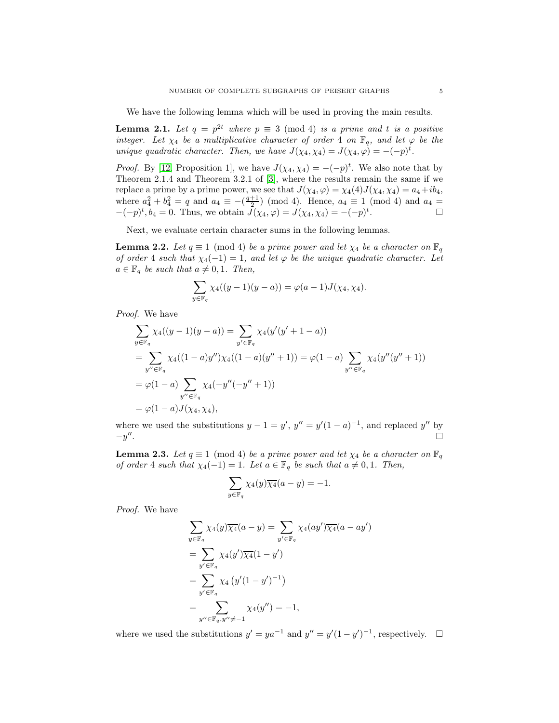We have the following lemma which will be used in proving the main results.

<span id="page-4-2"></span>**Lemma 2.1.** Let  $q = p^{2t}$  where  $p \equiv 3 \pmod{4}$  *is a prime and t is a positive integer.* Let  $\chi_4$  be a multiplicative character of order 4 *on*  $\mathbb{F}_q$ *, and let*  $\varphi$  *be the unique quadratic character. Then, we have*  $J(\chi_4, \chi_4) = J(\chi_4, \varphi) = -(-p)^t$ .

*Proof.* By [\[12,](#page-18-14) Proposition 1], we have  $J(\chi_4, \chi_4) = -(-p)^t$ . We also note that by Theorem 2.1.4 and Theorem 3.2.1 of [\[3\]](#page-18-15), where the results remain the same if we replace a prime by a prime power, we see that  $J(\chi_4, \varphi) = \chi_4(4)J(\chi_4, \chi_4) = a_4 + ib_4$ , where  $a_4^2 + b_4^2 = q$  and  $a_4 \equiv -(\frac{q+1}{2}) \pmod{4}$ . Hence,  $a_4 \equiv 1 \pmod{4}$  and  $a_4 =$  $-(-p)^t, b_4 = 0$ . Thus, we obtain  $\tilde{J}(\chi_4, \varphi) = J(\chi_4, \chi_4) = -(-p)^t$ .

Next, we evaluate certain character sums in the following lemmas.

<span id="page-4-1"></span>**Lemma 2.2.** Let  $q \equiv 1 \pmod{4}$  be a prime power and let  $\chi_4$  be a character on  $\mathbb{F}_q$ *of order* 4 *such that*  $\chi_4(-1) = 1$ *, and let*  $\varphi$  *be the unique quadratic character. Let*  $a \in \mathbb{F}_q$  *be such that*  $a \neq 0, 1$ *. Then,* 

$$
\sum_{y \in \mathbb{F}_q} \chi_4((y-1)(y-a)) = \varphi(a-1)J(\chi_4, \chi_4).
$$

*Proof.* We have

$$
\sum_{y \in \mathbb{F}_q} \chi_4((y-1)(y-a)) = \sum_{y' \in \mathbb{F}_q} \chi_4(y'(y'+1-a))
$$
\n
$$
= \sum_{y'' \in \mathbb{F}_q} \chi_4((1-a)y'')\chi_4((1-a)(y''+1)) = \varphi(1-a) \sum_{y'' \in \mathbb{F}_q} \chi_4(y''(y''+1))
$$
\n
$$
= \varphi(1-a) \sum_{y'' \in \mathbb{F}_q} \chi_4(-y''(-y''+1))
$$
\n
$$
= \varphi(1-a)J(\chi_4, \chi_4),
$$

where we used the substitutions  $y - 1 = y'$ ,  $y'' = y'(1 - a)^{-1}$ , and replaced y'' by  $-y''$ .

<span id="page-4-0"></span>**Lemma 2.3.** *Let*  $q \equiv 1 \pmod{4}$  *be a prime power and let*  $\chi_4$  *be a character on*  $\mathbb{F}_q$ *of order* 4 *such that*  $\chi_4(-1) = 1$ *. Let*  $a \in \mathbb{F}_q$  *be such that*  $a \neq 0, 1$ *. Then,* 

$$
\sum_{y \in \mathbb{F}_q} \chi_4(y) \overline{\chi_4}(a - y) = -1.
$$

*Proof.* We have

$$
\sum_{y \in \mathbb{F}_q} \chi_4(y) \overline{\chi_4}(a - y) = \sum_{y' \in \mathbb{F}_q} \chi_4(ay') \overline{\chi_4}(a - ay')
$$
  
= 
$$
\sum_{y' \in \mathbb{F}_q} \chi_4(y') \overline{\chi_4}(1 - y')
$$
  
= 
$$
\sum_{y' \in \mathbb{F}_q} \chi_4(y'(1 - y')^{-1})
$$
  
= 
$$
\sum_{y'' \in \mathbb{F}_q, y'' \neq -1} \chi_4(y'') = -1,
$$

where we used the substitutions  $y' = ya^{-1}$  and  $y'' = y'(1 - y')^{-1}$ , respectively.  $\Box$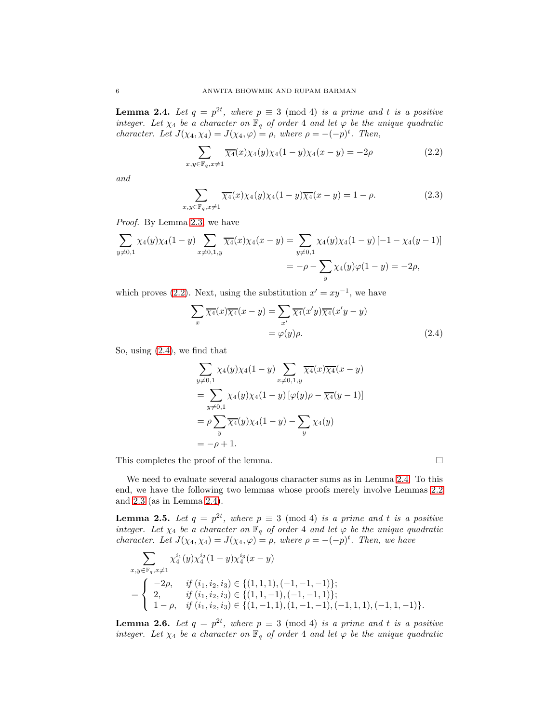<span id="page-5-2"></span>**Lemma 2.4.** Let  $q = p^{2t}$ , where  $p \equiv 3 \pmod{4}$  *is a prime and t is a positive integer. Let*  $\chi_4$  *be a character on*  $\mathbb{F}_q$  *of order* 4 *and let*  $\varphi$  *be the unique quadratic character. Let*  $J(\chi_4, \chi_4) = J(\chi_4, \varphi) = \rho$ *, where*  $\rho = -(-p)^t$ *. Then,* 

<span id="page-5-0"></span>
$$
\sum_{x,y \in \mathbb{F}_q, x \neq 1} \overline{\chi_4}(x) \chi_4(y) \chi_4(1-y) \chi_4(x-y) = -2\rho \tag{2.2}
$$

*and*

<span id="page-5-3"></span>
$$
\sum_{x,y \in \mathbb{F}_q, x \neq 1} \overline{\chi_4}(x) \chi_4(y) \chi_4(1-y) \overline{\chi_4}(x-y) = 1 - \rho. \tag{2.3}
$$

*Proof.* By Lemma [2.3,](#page-4-0) we have

$$
\sum_{y \neq 0,1} \chi_4(y)\chi_4(1-y) \sum_{x \neq 0,1,y} \overline{\chi_4}(x)\chi_4(x-y) = \sum_{y \neq 0,1} \chi_4(y)\chi_4(1-y) \left[-1 - \chi_4(y-1)\right]
$$
  
=  $-\rho - \sum_y \chi_4(y)\varphi(1-y) = -2\rho$ ,

which proves [\(2.2\)](#page-5-0). Next, using the substitution  $x' = xy^{-1}$ , we have

$$
\sum_{x} \overline{\chi_4}(x) \overline{\chi_4}(x - y) = \sum_{x'} \overline{\chi_4}(x'y) \overline{\chi_4}(x'y - y)
$$

$$
= \varphi(y)\rho.
$$
 (2.4)

So, using [\(2.4\)](#page-5-1), we find that

$$
\sum_{y \neq 0,1} \chi_4(y)\chi_4(1-y) \sum_{x \neq 0,1,y} \overline{\chi_4}(x)\overline{\chi_4}(x-y)
$$
  
= 
$$
\sum_{y \neq 0,1} \chi_4(y)\chi_4(1-y) [\varphi(y)\rho - \overline{\chi_4}(y-1)]
$$
  
= 
$$
\rho \sum_y \overline{\chi_4}(y)\chi_4(1-y) - \sum_y \chi_4(y)
$$
  
= 
$$
-\rho + 1.
$$

This completes the proof of the lemma.  $\Box$ 

<span id="page-5-1"></span>

We need to evaluate several analogous character sums as in Lemma [2.4.](#page-5-2) To this end, we have the following two lemmas whose proofs merely involve Lemmas [2.2](#page-4-1) and [2.3](#page-4-0) (as in Lemma [2.4\)](#page-5-2).

<span id="page-5-4"></span>**Lemma 2.5.** Let  $q = p^{2t}$ , where  $p \equiv 3 \pmod{4}$  *is a prime and t is a positive integer.* Let  $\chi_4$  *be a character on*  $\mathbb{F}_q$  *of order* 4 *and let*  $\varphi$  *be the unique quadratic character. Let*  $J(\chi_4, \chi_4) = J(\chi_4, \varphi) = \rho$ , where  $\rho = -(-p)^t$ . Then, we have

$$
\sum_{x,y \in \mathbb{F}_q, x \neq 1} \chi_4^{i_1}(y) \chi_4^{i_2}(1-y) \chi_4^{i_3}(x-y) \n= \begin{cases}\n-2\rho, & if (i_1, i_2, i_3) \in \{(1, 1, 1), (-1, -1, -1)\}; \\
2, & if (i_1, i_2, i_3) \in \{(1, 1, -1), (-1, -1, 1)\}; \\
1-\rho, & if (i_1, i_2, i_3) \in \{(1, -1, 1), (1, -1, -1), (-1, 1, 1), (-1, 1, -1)\}.\n\end{cases}
$$

<span id="page-5-5"></span>**Lemma 2.6.** Let  $q = p^{2t}$ , where  $p \equiv 3 \pmod{4}$  *is a prime and t is a positive integer. Let*  $\chi_4$  *be a character on*  $\mathbb{F}_q$  *of order* 4 *and let*  $\varphi$  *be the unique quadratic*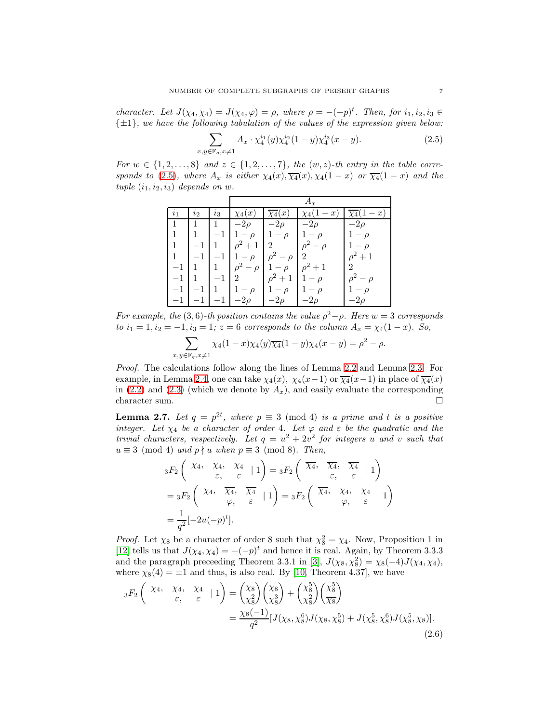*character.* Let  $J(\chi_4, \chi_4) = J(\chi_4, \varphi) = \rho$ , where  $\rho = -(-p)^t$ . Then, for  $i_1, i_2, i_3 \in$ {±1}*, we have the following tabulation of the values of the expression given below:*

<span id="page-6-0"></span>
$$
\sum_{x,y \in \mathbb{F}_q, x \neq 1} A_x \cdot \chi_4^{i_1}(y) \chi_4^{i_2}(1-y) \chi_4^{i_3}(x-y). \tag{2.5}
$$

*For*  $w \in \{1, 2, \ldots, 8\}$  and  $z \in \{1, 2, \ldots, 7\}$ , the  $(w, z)$ -th entry in the table corre*sponds to* [\(2.5\)](#page-6-0)*, where*  $A_x$  *is either*  $\chi_4(x), \overline{\chi_4}(x), \chi_4(1-x)$  *or*  $\overline{\chi_4}(1-x)$  *and the*  $tuple (i_1, i_2, i_3) depends on w.$ 

| $\iota_1$ | l2   | $\imath_3$ |                 |              |                    | x              |
|-----------|------|------------|-----------------|--------------|--------------------|----------------|
|           |      |            | $-2\rho$        | $-2\rho$     | $-2\rho$           | $-2\rho$       |
|           |      |            |                 | $-\rho$      | $-\rho$            |                |
| 1         | $-1$ |            | $\rho^2+1$      | 2            | $\rho^2 - \rho$    |                |
|           |      |            | $-\rho$         | $\rho^2$     | 2 <sup>1</sup>     | $\rho^2+1$     |
| $-1$      |      |            | $\rho^2 - \rho$ |              | $-\rho$ $\rho^2+1$ | $\overline{2}$ |
|           |      |            | $\mathcal{D}$   | $\rho^2 + 1$ | $1-\rho$           | $\alpha^2$     |
|           |      |            |                 | $1-\rho$     | $-\rho$            |                |
|           |      |            |                 |              | $-2\rho$           |                |

*For example, the* (3,6)*-th position contains the value*  $\rho^2 - \rho$ *. Here*  $w = 3$  *corresponds to*  $i_1 = 1, i_2 = -1, i_3 = 1$ ;  $z = 6$  *corresponds to the column*  $A_x = \chi_4(1-x)$ *. So,* 

$$
\sum_{x,y \in \mathbb{F}_q, x \neq 1} \chi_4(1-x) \chi_4(y) \overline{\chi_4}(1-y) \chi_4(x-y) = \rho^2 - \rho.
$$

*Proof.* The calculations follow along the lines of Lemma [2.2](#page-4-1) and Lemma [2.3.](#page-4-0) For example, in Lemma [2.4,](#page-5-2) one can take  $\chi_4(x)$ ,  $\chi_4(x-1)$  or  $\overline{\chi_4}(x-1)$  in place of  $\overline{\chi_4}(x)$ in [\(2.2\)](#page-5-0) and [\(2.3\)](#page-5-3) (which we denote by  $A_x$ ), and easily evaluate the corresponding character sum.  $\hfill \square$ 

<span id="page-6-2"></span>**Lemma 2.7.** Let  $q = p^{2t}$ , where  $p \equiv 3 \pmod{4}$  *is a prime and t is a positive integer.* Let  $\chi_4$  be a character of order 4. Let  $\varphi$  and  $\varepsilon$  be the quadratic and the *trivial characters, respectively. Let*  $q = u^2 + 2v^2$  *for integers* u and v *such that*  $u \equiv 3 \pmod{4}$  *and*  $p \nmid u$  *when*  $p \equiv 3 \pmod{8}$ *. Then,* 

$$
{}_{3}F_{2}\left(\begin{array}{ccc} \chi_{4}, & \chi_{4}, & \chi_{4} \\ \varepsilon, & \varepsilon \end{array} \middle| 1 \right) = {}_{3}F_{2}\left(\begin{array}{ccc} \overline{\chi_{4}}, & \overline{\chi_{4}}, & \overline{\chi_{4}} \\ \varepsilon, & \varepsilon \end{array} \middle| 1 \right)
$$
  
=  ${}_{3}F_{2}\left(\begin{array}{ccc} \chi_{4}, & \overline{\chi_{4}}, & \overline{\chi_{4}} \\ \varphi, & \varepsilon \end{array} \middle| 1 \right) = {}_{3}F_{2}\left(\begin{array}{ccc} \overline{\chi_{4}}, & \chi_{4}, & \chi_{4} \\ \varphi, & \varepsilon \end{array} \middle| 1 \right)$   
=  $\frac{1}{q^{2}}[-2u(-p)^{t}].$ 

*Proof.* Let  $\chi_8$  be a character of order 8 such that  $\chi_8^2 = \chi_4$ . Now, Proposition 1 in [\[12\]](#page-18-14) tells us that  $J(\chi_4, \chi_4) = -(-p)^t$  and hence it is real. Again, by Theorem 3.3.3 and the paragraph preceeding Theorem 3.3.1 in [\[3\]](#page-18-15),  $J(\chi_8, \chi_8^2) = \chi_8(-4)J(\chi_4, \chi_4)$ , where  $\chi_8(4) = \pm 1$  and thus, is also real. By [\[10,](#page-18-0) Theorem 4.37], we have

<span id="page-6-1"></span>
$$
{}_{3}F_{2}\left(\begin{array}{cc} \chi_{4}, & \chi_{4}, & \chi_{4} \\ \varepsilon, & \varepsilon \end{array} \mid 1\right) = \begin{pmatrix} \chi_{8} \\ \chi_{8}^{2} \end{pmatrix} \begin{pmatrix} \chi_{8} \\ \chi_{8}^{3} \end{pmatrix} + \begin{pmatrix} \chi_{8}^{5} \\ \chi_{8}^{2} \end{pmatrix} \begin{pmatrix} \chi_{8}^{5} \\ \overline{\chi_{8}} \end{pmatrix}
$$

$$
= \frac{\chi_{8}(-1)}{q^{2}} [J(\chi_{8}, \chi_{8}^{6})J(\chi_{8}, \chi_{8}^{5}) + J(\chi_{8}^{5}, \chi_{8}^{6})J(\chi_{8}^{5}, \chi_{8})].
$$
(2.6)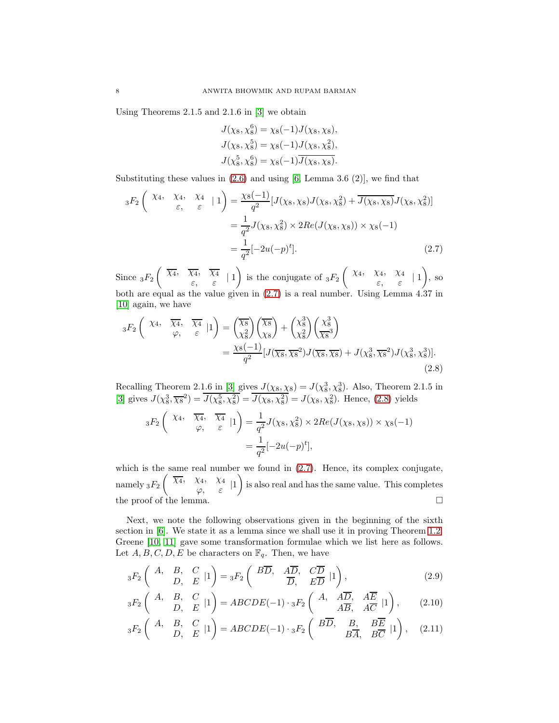Using Theorems 2.1.5 and 2.1.6 in [\[3\]](#page-18-15) we obtain

<span id="page-7-0"></span>
$$
J(\chi_8, \chi_8^6) = \chi_8(-1)J(\chi_8, \chi_8),
$$
  
\n
$$
J(\chi_8, \chi_8^5) = \chi_8(-1)J(\chi_8, \chi_8^2),
$$
  
\n
$$
J(\chi_8^5, \chi_8^6) = \chi_8(-1)\overline{J(\chi_8, \chi_8)}.
$$

Substituting these values in  $(2.6)$  and using [\[6,](#page-18-10) Lemma 3.6  $(2)$ ], we find that

$$
{}_{3}F_{2}\left(\begin{array}{cc} \chi_{4}, & \chi_{4} & \chi_{4} \\ \varepsilon, & \varepsilon \end{array} \mid 1\right) = \frac{\chi_{8}(-1)}{q^{2}}[J(\chi_{8},\chi_{8})J(\chi_{8},\chi_{8}^{2}) + \overline{J(\chi_{8},\chi_{8})}J(\chi_{8},\chi_{8}^{2})]
$$

$$
= \frac{1}{q^{2}}J(\chi_{8},\chi_{8}^{2}) \times 2Re(J(\chi_{8},\chi_{8})) \times \chi_{8}(-1)
$$

$$
= \frac{1}{q^{2}}[-2u(-p)^{t}].
$$
(2.7)

Since  $_3F_2$  $\left(\begin{array}{cc} \overline{\chi_4}, & \overline{\chi_4}, & \overline{\chi_4} \end{array}\right)$  $\begin{array}{cc} (4) & \lambda 4 \\ \varepsilon, & \varepsilon \end{array}$  | 1  $\setminus$ is the conjugate of  $_3F_2$  $\int \chi_4, \quad \chi_4, \quad \chi_4$  $\begin{array}{cc} (4) & \lambda 4 \\ \varepsilon, & \varepsilon \end{array}$  | 1  $\overline{\phantom{0}}$ , so both are equal as the value given in [\(2.7\)](#page-7-0) is a real number. Using Lemma 4.37 in [\[10\]](#page-18-0) again, we have

$$
{}_{3}F_{2}\left(\begin{array}{cc} \chi_{4}, & \overline{\chi_{4}}, & \overline{\chi_{4}} \\ \varphi, & \varepsilon \end{array} \Big| 1\right) = \left(\frac{\overline{\chi_{8}}}{\chi_{8}^{2}}\right)\left(\frac{\overline{\chi_{8}}}{\chi_{8}}\right) + \left(\frac{\chi_{8}^{3}}{\chi_{8}^{2}}\right)\left(\frac{\chi_{8}^{3}}{\overline{\chi_{8}^{3}}}\right) \\
= \frac{\chi_{8}(-1)}{q^{2}} [J(\overline{\chi_{8}}, \overline{\chi_{8}}^{2}) J(\overline{\chi_{8}}, \overline{\chi_{8}}) + J(\chi_{8}^{3}, \overline{\chi_{8}}^{2}) J(\chi_{8}^{3}, \chi_{8}^{3})].\tag{2.8}
$$

Recalling Theorem 2.1.6 in [\[3\]](#page-18-15) gives  $J(\chi_8, \chi_8) = J(\chi_8^3, \chi_8^3)$ . Also, Theorem 2.1.5 in [\[3\]](#page-18-15) gives  $J(\chi_8^3, \overline{\chi_8}^2) = J(\chi_8^5, \chi_8^2) = J(\chi_8, \chi_8^2) = J(\chi_8, \chi_8^2)$ . Hence, [\(2.8\)](#page-7-1) yields

<span id="page-7-1"></span>
$$
{}_3F_2\left(\begin{array}{cc} \chi_4, & \overline{\chi_4}, & \overline{\chi_4} \\ \varphi, & \varepsilon \end{array} \middle| 1 \right) = \frac{1}{q^2} J(\chi_8, \chi_8^2) \times 2Re(J(\chi_8, \chi_8)) \times \chi_8(-1) = \frac{1}{q^2} [-2u(-p)^t],
$$

which is the same real number we found in  $(2.7)$ . Hence, its complex conjugate, namely  $_3F_2$  $\left(\begin{array}{cc} \overline{\chi_4}, & \chi_4, & \chi_4 \end{array}\right)$  $\begin{matrix} \mathcal{N}^{4}, & \mathcal{N}^{4} & | \ \mathcal{C}, & \mathcal{E} & \end{matrix}$  $\overline{\phantom{0}}$ is also real and has the same value. This completes the proof of the lemma.  $\hfill\Box$ 

Next, we note the following observations given in the beginning of the sixth section in [\[6\]](#page-18-10). We state it as a lemma since we shall use it in proving Theorem [1.2.](#page-2-0) Greene [\[10,](#page-18-0) [11\]](#page-18-1) gave some transformation formulae which we list here as follows. Let  $A, B, C, D, E$  be characters on  $\mathbb{F}_q$ . Then, we have

<span id="page-7-2"></span>
$$
{}_3F_2\left( \begin{array}{ccc} A, & B, & C \\ & D, & E \end{array} | 1 \right) = {}_3F_2\left( \begin{array}{ccc} B\overline{D}, & A\overline{D}, & C\overline{D} \\ & \overline{D}, & E\overline{D} \end{array} | 1 \right), \tag{2.9}
$$

<span id="page-7-3"></span>
$$
{}_3F_2\left(\begin{array}{ccc}A, & B, & C \\ & D, & E\end{array}|1\right)=ABCDE(-1)\cdot {}_3F_2\left(\begin{array}{ccc}A, & A\overline{D}, & A\overline{E} \\ & A\overline{B}, & A\overline{C}\end{array}|1\right),\tag{2.10}
$$

$$
{}_3F_2\left(\begin{array}{cc}A, & B, & C \\ & D, & E\end{array}|1\right)=ABCDE(-1)\cdot {}_3F_2\left(\begin{array}{cc}B\overline{D}, & B, & B\overline{E} \\ & B\overline{A}, & B\overline{C}\end{array}|1\right),\quad (2.11)
$$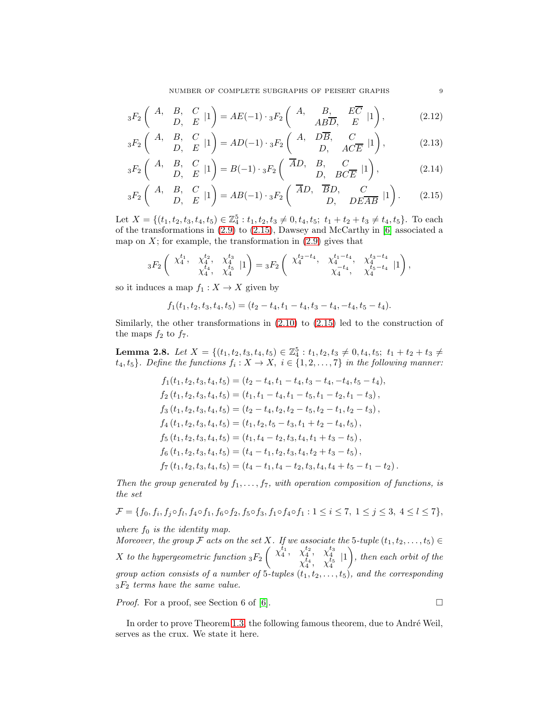NUMBER OF COMPLETE SUBGRAPHS OF PEISERT GRAPHS 9

$$
{}_{3}F_{2}\left(\begin{array}{cc}A, & B, & C \\ & D, & E\end{array}|1\right) = AE(-1)\cdot {}_{3}F_{2}\left(\begin{array}{cc}A, & B, & E\overline{C} \\ AB\overline{D}, & E\end{array}|1\right),\tag{2.12}
$$

$$
{}_3F_2\left(\begin{array}{ccc} A, & B, & C \\ & D, & E \end{array}|1\right) = AD(-1) \cdot {}_3F_2\left(\begin{array}{ccc} A, & D\overline{B}, & C \\ & D, & AC\overline{E} \end{array}|1\right),\right) \tag{2.13}
$$

$$
{}_{3}F_{2}\begin{pmatrix} A, & B, & C \\ & D, & E \end{pmatrix} = B(-1) \cdot {}_{3}F_{2}\begin{pmatrix} \overline{A}D, & B, & C \\ & D, & BCE \end{pmatrix},
$$
 (2.14)

$$
{}_3F_2\left(\begin{array}{cc}A, & B, & C \\ & D, & E\end{array}|1\right)=AB(-1)\cdot {}_3F_2\left(\begin{array}{cc} \overline{A}D, & \overline{B}D, & C \\ & D, & DE\overline{AB}\end{array}|1\right).
$$
 (2.15)

Let  $X = \{(t_1, t_2, t_3, t_4, t_5) \in \mathbb{Z}_4^5 : t_1, t_2, t_3 \neq 0, t_4, t_5; t_1 + t_2 + t_3 \neq t_4, t_5\}$ . To each of the transformations in [\(2.9\)](#page-7-2) to [\(2.15\)](#page-8-0), Dawsey and McCarthy in [\[6\]](#page-18-10) associated a map on  $X$ ; for example, the transformation in  $(2.9)$  gives that

$$
{}_3F_2\left(\begin{array}{cccc} \chi_4^{t_1}, & \chi_4^{t_2}, & \chi_4^{t_3} \\ \chi_4^{t_4}, & \chi_4^{t_4} \end{array} \big| 1 \right) = {}_3F_2\left(\begin{array}{cccc} \chi_4^{t_2-t_4}, & \chi_4^{t_1-t_4}, & \chi_4^{t_3-t_4} \\ \chi_4^{-t_4}, & \chi_4^{t_5-t_4} & 1 \end{array} \big| 1 \right),
$$

so it induces a map  $f_1 : X \to X$  given by

$$
f_1(t_1, t_2, t_3, t_4, t_5) = (t_2 - t_4, t_1 - t_4, t_3 - t_4, -t_4, t_5 - t_4).
$$

Similarly, the other transformations in  $(2.10)$  to  $(2.15)$  led to the construction of the maps  $f_2$  to  $f_7$ .

<span id="page-8-1"></span>**Lemma 2.8.** *Let*  $X = \{(t_1, t_2, t_3, t_4, t_5) \in \mathbb{Z}_4^5 : t_1, t_2, t_3 \neq 0, t_4, t_5; t_1 + t_2 + t_3 \neq 0\}$  $\{t_4, t_5\}$ . Define the functions  $f_i: X \to X$ ,  $i \in \{1, 2, ..., 7\}$  in the following manner:

$$
f_1(t_1, t_2, t_3, t_4, t_5) = (t_2 - t_4, t_1 - t_4, t_3 - t_4, -t_4, t_5 - t_4),
$$
  
\n
$$
f_2(t_1, t_2, t_3, t_4, t_5) = (t_1, t_1 - t_4, t_1 - t_5, t_1 - t_2, t_1 - t_3),
$$
  
\n
$$
f_3(t_1, t_2, t_3, t_4, t_5) = (t_2 - t_4, t_2, t_2 - t_5, t_2 - t_1, t_2 - t_3),
$$
  
\n
$$
f_4(t_1, t_2, t_3, t_4, t_5) = (t_1, t_2, t_5 - t_3, t_1 + t_2 - t_4, t_5),
$$
  
\n
$$
f_5(t_1, t_2, t_3, t_4, t_5) = (t_1, t_4 - t_2, t_3, t_4, t_1 + t_3 - t_5),
$$
  
\n
$$
f_6(t_1, t_2, t_3, t_4, t_5) = (t_4 - t_1, t_2, t_3, t_4, t_2 + t_3 - t_5),
$$
  
\n
$$
f_7(t_1, t_2, t_3, t_4, t_5) = (t_4 - t_1, t_4 - t_2, t_3, t_4, t_4 + t_5 - t_1 - t_2).
$$

Then the group generated by  $f_1, \ldots, f_7$ , with operation composition of functions, is *the set*

$$
\mathcal{F} = \{f_0, f_i, f_j \circ f_l, f_4 \circ f_1, f_6 \circ f_2, f_5 \circ f_3, f_1 \circ f_4 \circ f_1 : 1 \le i \le 7, 1 \le j \le 3, 4 \le l \le 7\},\
$$

*where*  $f_0$  *is the identity map.* 

*Moreover, the group*  $\mathcal F$  *acts on the set* X*.* If we associate the 5*-tuple*  $(t_1, t_2, \ldots, t_5) \in$  $X$  *to the hypergeometric function*  ${}_{3}F_{2}$  $\begin{pmatrix} \chi_4^{t_1}, & \chi_4^{t_2}, & \chi_4^{t_3} \\ \chi_4^{t_4}, & \chi_4^{t_5} \end{pmatrix}$  [1  $\setminus$ *, then each orbit of the group action consists of a number of* 5*-tuples*  $(t_1, t_2, \ldots, t_5)$ *, and the corresponding* <sup>3</sup>F<sup>2</sup> *terms have the same value.*

*Proof.* For a proof, see Section 6 of [\[6\]](#page-18-10).  $\Box$ 

In order to prove Theorem [1.3,](#page-3-1) the following famous theorem, due to André Weil, serves as the crux. We state it here.

<span id="page-8-0"></span>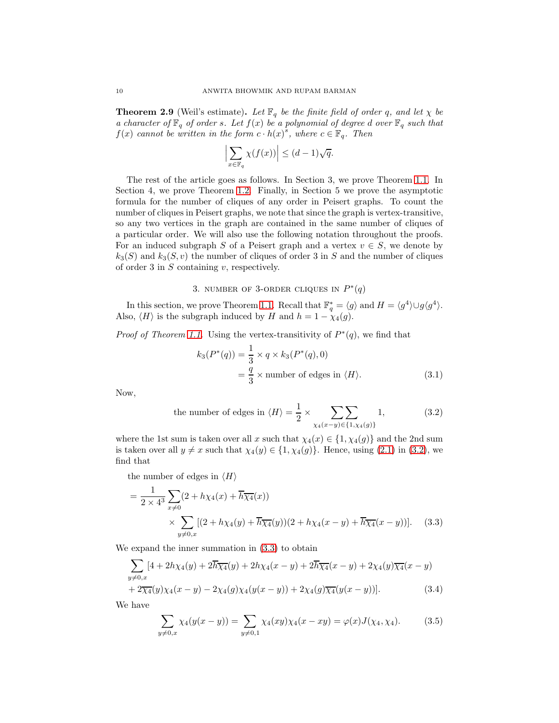<span id="page-9-5"></span>**Theorem 2.9** (Weil's estimate). Let  $\mathbb{F}_q$  be the finite field of order q, and let  $\chi$  be *a character of*  $\mathbb{F}_q$  *of order s. Let*  $f(x)$  *be a polynomial of degree d over*  $\mathbb{F}_q$  *such that*  $f(x)$  *cannot be written in the form*  $c \cdot h(x)^s$ *, where*  $c \in \mathbb{F}_q$ *. Then* 

$$
\left|\sum_{x\in\mathbb{F}_q}\chi(f(x))\right|\leq (d-1)\sqrt{q}.
$$

The rest of the article goes as follows. In Section 3, we prove Theorem [1.1.](#page-2-1) In Section 4, we prove Theorem [1.2.](#page-2-0) Finally, in Section 5 we prove the asymptotic formula for the number of cliques of any order in Peisert graphs. To count the number of cliques in Peisert graphs, we note that since the graph is vertex-transitive, so any two vertices in the graph are contained in the same number of cliques of a particular order. We will also use the following notation throughout the proofs. For an induced subgraph S of a Peisert graph and a vertex  $v \in S$ , we denote by  $k_3(S)$  and  $k_3(S, v)$  the number of cliques of order 3 in S and the number of cliques of order 3 in  $S$  containing  $v$ , respectively.

## 3. NUMBER OF 3-ORDER CLIQUES IN  $P^*(q)$

In this section, we prove Theorem [1.1.](#page-2-1) Recall that  $\mathbb{F}_q^* = \langle g \rangle$  and  $H = \langle g^4 \rangle \cup g \langle g^4 \rangle$ . Also,  $\langle H \rangle$  is the subgraph induced by H and  $h = 1 - \chi_4(g)$ .

*Proof of Theorem [1.1.](#page-2-1)* Using the vertex-transitivity of  $P^*(q)$ , we find that

<span id="page-9-4"></span><span id="page-9-0"></span>
$$
k_3(P^*(q)) = \frac{1}{3} \times q \times k_3(P^*(q), 0)
$$
  
=  $\frac{q}{3} \times$  number of edges in  $\langle H \rangle$ . (3.1)

Now,

<span id="page-9-1"></span>the number of edges in 
$$
\langle H \rangle = \frac{1}{2} \times \sum_{\chi_4(x-y) \in \{1, \chi_4(g)\}} 1,
$$
 (3.2)

where the 1st sum is taken over all x such that  $\chi_4(x) \in \{1, \chi_4(g)\}\$  and the 2nd sum is taken over all  $y \neq x$  such that  $\chi_4(y) \in \{1, \chi_4(g)\}\.$  Hence, using [\(2.1\)](#page-3-2) in [\(3.2\)](#page-9-0), we find that

the number of edges in  $\langle H \rangle$ 

$$
= \frac{1}{2 \times 4^3} \sum_{x \neq 0} (2 + h \chi_4(x) + \overline{h} \overline{\chi_4}(x))
$$
  
 
$$
\times \sum_{y \neq 0, x} [(2 + h \chi_4(y) + \overline{h} \overline{\chi_4}(y)) (2 + h \chi_4(x - y) + \overline{h} \overline{\chi_4}(x - y))]. \quad (3.3)
$$

We expand the inner summation in [\(3.3\)](#page-9-1) to obtain

$$
\sum_{y \neq 0,x} [4 + 2h\chi_4(y) + 2\overline{h}\overline{\chi_4}(y) + 2h\chi_4(x - y) + 2\overline{h}\overline{\chi_4}(x - y) + 2\chi_4(y)\overline{\chi_4}(x - y) + 2\overline{\chi_4}(y)\chi_4(x - y) - 2\chi_4(g)\chi_4(y(x - y)) + 2\chi_4(g)\overline{\chi_4}(y(x - y))].
$$
\n(3.4)

We have

<span id="page-9-3"></span><span id="page-9-2"></span>
$$
\sum_{y \neq 0, x} \chi_4(y(x - y)) = \sum_{y \neq 0, 1} \chi_4(xy) \chi_4(x - xy) = \varphi(x) J(\chi_4, \chi_4). \tag{3.5}
$$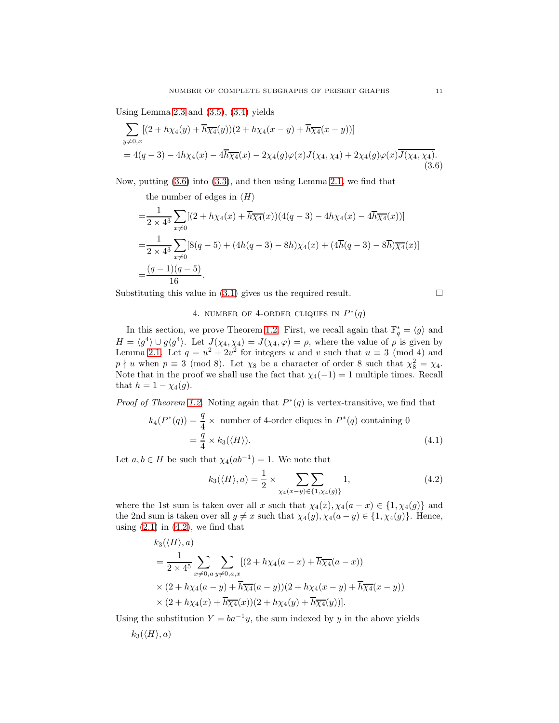Using Lemma [2.3](#page-4-0) and  $(3.5)$ ,  $(3.4)$  yields

$$
\sum_{y \neq 0,x} [(2 + h\chi_4(y) + \overline{h}\overline{\chi_4}(y))(2 + h\chi_4(x - y) + \overline{h}\overline{\chi_4}(x - y))]
$$
  
= 4(q-3) - 4h\chi\_4(x) - 4\overline{h}\overline{\chi\_4}(x) - 2\chi\_4(g)\varphi(x)J(\chi\_4, \chi\_4) + 2\chi\_4(g)\varphi(x)\overline{J(\chi\_4, \chi\_4)}. (3.6)

Now, putting [\(3.6\)](#page-10-0) into [\(3.3\)](#page-9-1), and then using Lemma [2.1,](#page-4-2) we find that

the number of edges in  $\langle H \rangle$ 

$$
=\frac{1}{2 \times 4^3} \sum_{x \neq 0} [(2 + h\chi_4(x) + \overline{h}\overline{\chi_4}(x)) (4(q - 3) - 4h\chi_4(x) - 4\overline{h}\overline{\chi_4}(x))]
$$
  
= 
$$
\frac{1}{2 \times 4^3} \sum_{x \neq 0} [8(q - 5) + (4h(q - 3) - 8h)\chi_4(x) + (4\overline{h}(q - 3) - 8\overline{h})\overline{\chi_4}(x)]
$$
  
= 
$$
\frac{(q - 1)(q - 5)}{16}.
$$

Substituting this value in  $(3.1)$  gives us the required result.

## 4. NUMBER OF 4-ORDER CLIQUES IN  $P^*(q)$

In this section, we prove Theorem [1.2.](#page-2-0) First, we recall again that  $\mathbb{F}_q^* = \langle g \rangle$  and  $H = \langle g^4 \rangle \cup g \langle g^4 \rangle$ . Let  $J(\chi_4, \chi_4) = J(\chi_4, \varphi) = \rho$ , where the value of  $\rho$  is given by Lemma [2.1.](#page-4-2) Let  $q = u^2 + 2v^2$  for integers u and v such that  $u \equiv 3 \pmod{4}$  and  $p \nmid u$  when  $p \equiv 3 \pmod{8}$ . Let  $\chi_8$  be a character of order 8 such that  $\chi_8^2 = \chi_4$ . Note that in the proof we shall use the fact that  $\chi_4(-1) = 1$  multiple times. Recall that  $h = 1 - \chi_4(g)$ .

*Proof of Theorem [1.2.](#page-2-0)* Noting again that  $P^*(q)$  is vertex-transitive, we find that

$$
k_4(P^*(q)) = \frac{q}{4} \times \text{ number of 4-order cliques in } P^*(q) \text{ containing } 0
$$

$$
= \frac{q}{4} \times k_3(\langle H \rangle). \tag{4.1}
$$

Let  $a, b \in H$  be such that  $\chi_4(ab^{-1}) = 1$ . We note that

$$
k_3(\langle H \rangle, a) = \frac{1}{2} \times \sum_{\chi_4(x-y) \in \{1, \chi_4(g)\}} 1,
$$
\n(4.2)

where the 1st sum is taken over all x such that  $\chi_4(x), \chi_4(a-x) \in \{1, \chi_4(g)\}\$  and the 2nd sum is taken over all  $y \neq x$  such that  $\chi_4(y), \chi_4(a - y) \in \{1, \chi_4(g)\}.$  Hence, using  $(2.1)$  in  $(4.2)$ , we find that

$$
k_3(\langle H \rangle, a)
$$
  
=  $\frac{1}{2 \times 4^5} \sum_{x \neq 0, a} \sum_{y \neq 0, a, x} [(2 + h\chi_4(a - x) + \overline{h}\overline{\chi_4}(a - x))$   
 $\times (2 + h\chi_4(a - y) + \overline{h}\overline{\chi_4}(a - y))(2 + h\chi_4(x - y) + \overline{h}\overline{\chi_4}(x - y))$   
 $\times (2 + h\chi_4(x) + \overline{h}\overline{\chi_4}(x))(2 + h\chi_4(y) + \overline{h}\overline{\chi_4}(y))].$ 

Using the substitution  $Y = ba^{-1}y$ , the sum indexed by y in the above yields  $k_3(\langle H \rangle, a)$ 

<span id="page-10-2"></span><span id="page-10-1"></span><span id="page-10-0"></span>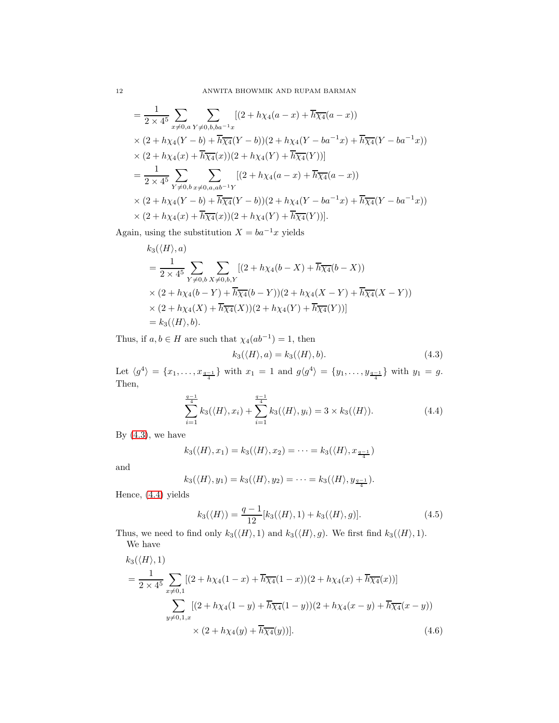$$
= \frac{1}{2 \times 4^5} \sum_{x \neq 0, a} \sum_{Y \neq 0, b, ba^{-1}x} [(2 + h\chi_4(a - x) + \overline{h}\overline{\chi_4}(a - x))
$$
  
 
$$
\times (2 + h\chi_4(Y - b) + \overline{h}\overline{\chi_4}(Y - b))(2 + h\chi_4(Y - ba^{-1}x) + \overline{h}\overline{\chi_4}(Y - ba^{-1}x))
$$
  
 
$$
\times (2 + h\chi_4(x) + \overline{h}\overline{\chi_4}(x))(2 + h\chi_4(Y) + \overline{h}\overline{\chi_4}(Y))]
$$
  
 
$$
= \frac{1}{2 \times 4^5} \sum_{Y \neq 0, b} \sum_{x \neq 0, a, ab^{-1}Y} [(2 + h\chi_4(a - x) + \overline{h}\overline{\chi_4}(a - x))
$$
  
 
$$
\times (2 + h\chi_4(Y - b) + \overline{h}\overline{\chi_4}(Y - b))(2 + h\chi_4(Y - ba^{-1}x) + \overline{h}\overline{\chi_4}(Y - ba^{-1}x))
$$
  
 
$$
\times (2 + h\chi_4(x) + \overline{h}\overline{\chi_4}(x))(2 + h\chi_4(Y) + \overline{h}\overline{\chi_4}(Y))].
$$

Again, using the substitution  $X = b a^{-1} x$  yields

$$
k_3(\langle H \rangle, a)
$$
  
=  $\frac{1}{2 \times 4^5} \sum_{Y \neq 0, b} \sum_{X \neq 0, b, Y} [(2 + h\chi_4(b - X) + \overline{h}\overline{\chi_4}(b - X))$   
 $\times (2 + h\chi_4(b - Y) + \overline{h}\overline{\chi_4}(b - Y))(2 + h\chi_4(X - Y) + \overline{h}\overline{\chi_4}(X - Y))$   
 $\times (2 + h\chi_4(X) + \overline{h}\overline{\chi_4}(X))(2 + h\chi_4(Y) + \overline{h}\overline{\chi_4}(Y))]$   
=  $k_3(\langle H \rangle, b).$ 

Thus, if  $a, b \in H$  are such that  $\chi_4(ab^{-1}) = 1$ , then

<span id="page-11-1"></span><span id="page-11-0"></span>
$$
k_3(\langle H \rangle, a) = k_3(\langle H \rangle, b). \tag{4.3}
$$

Let  $\langle g^4 \rangle = \{x_1, \ldots, x_{\frac{q-1}{4}}\}$  with  $x_1 = 1$  and  $g\langle g^4 \rangle = \{y_1, \ldots, y_{\frac{q-1}{4}}\}$  with  $y_1 = g$ . Then,

$$
\sum_{i=1}^{\frac{q-1}{4}} k_3(\langle H \rangle, x_i) + \sum_{i=1}^{\frac{q-1}{4}} k_3(\langle H \rangle, y_i) = 3 \times k_3(\langle H \rangle). \tag{4.4}
$$

By  $(4.3)$ , we have

$$
k_3(\langle H \rangle, x_1) = k_3(\langle H \rangle, x_2) = \dots = k_3(\langle H \rangle, x_{\frac{q-1}{4}})
$$

and

$$
k_3(\langle H \rangle, y_1) = k_3(\langle H \rangle, y_2) = \cdots = k_3(\langle H \rangle, y_{\frac{q-1}{4}}).
$$

Hence, [\(4.4\)](#page-11-1) yields

<span id="page-11-3"></span><span id="page-11-2"></span>
$$
k_3(\langle H \rangle) = \frac{q-1}{12} [k_3(\langle H \rangle, 1) + k_3(\langle H \rangle, g)]. \tag{4.5}
$$

Thus, we need to find only  $k_3(\langle H \rangle, 1)$  and  $k_3(\langle H \rangle, g)$ . We first find  $k_3(\langle H \rangle, 1)$ . We have

$$
k_3(\langle H \rangle, 1)
$$
  
=  $\frac{1}{2 \times 4^5} \sum_{x \neq 0, 1} [(2 + h\chi_4(1 - x) + \overline{h}\overline{\chi_4}(1 - x))(2 + h\chi_4(x) + \overline{h}\overline{\chi_4}(x))]$   

$$
\sum_{y \neq 0, 1, x} [(2 + h\chi_4(1 - y) + \overline{h}\overline{\chi_4}(1 - y))(2 + h\chi_4(x - y) + \overline{h}\overline{\chi_4}(x - y))
$$
  

$$
\times (2 + h\chi_4(y) + \overline{h}\overline{\chi_4}(y))].
$$
 (4.6)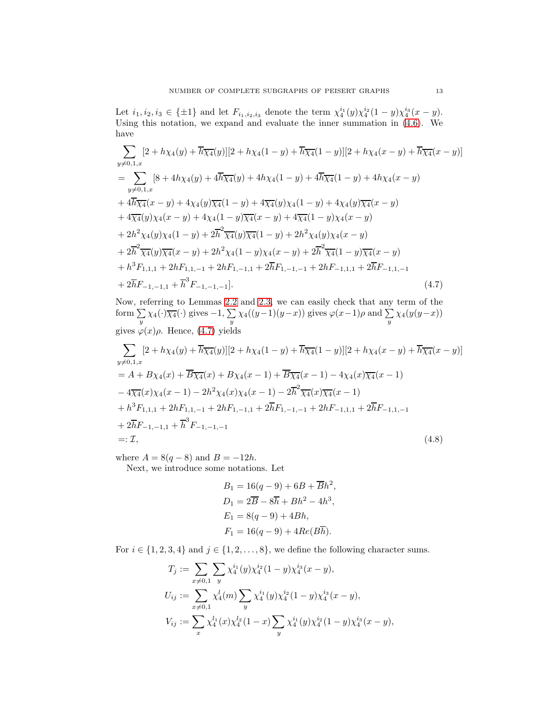Let  $i_1, i_2, i_3 \in \{\pm 1\}$  and let  $F_{i_1, i_2, i_3}$  denote the term  $\chi_4^{i_1}(y)\chi_4^{i_2}(1-y)\chi_4^{i_3}(x-y)$ . Using this notation, we expand and evaluate the inner summation in  $(4.6)$ . We have

$$
\sum_{y \neq 0,1,x} [2 + h\chi_4(y) + \overline{h}\overline{\chi_4}(y)][2 + h\chi_4(1 - y) + \overline{h}\overline{\chi_4}(1 - y)][2 + h\chi_4(x - y) + \overline{h}\overline{\chi_4}(x - y)]
$$
\n
$$
= \sum_{y \neq 0,1,x} [8 + 4h\chi_4(y) + 4\overline{h}\overline{\chi_4}(y) + 4h\chi_4(1 - y) + 4\overline{h}\overline{\chi_4}(1 - y) + 4h\chi_4(x - y)
$$
\n
$$
+ 4\overline{h}\overline{\chi_4}(x - y) + 4\chi_4(y)\overline{\chi_4}(1 - y) + 4\overline{\chi_4}(y)\chi_4(1 - y) + 4\chi_4(y)\overline{\chi_4}(x - y)
$$
\n
$$
+ 4\overline{\chi_4}(y)\chi_4(x - y) + 4\chi_4(1 - y)\overline{\chi_4}(x - y) + 4\overline{\chi_4}(1 - y)\chi_4(x - y)
$$
\n
$$
+ 2h^2\chi_4(y)\chi_4(1 - y) + 2\overline{h}^2\overline{\chi_4}(y)\overline{\chi_4}(1 - y) + 2h^2\chi_4(y)\chi_4(x - y)
$$
\n
$$
+ 2\overline{h}^2\overline{\chi_4}(y)\overline{\chi_4}(x - y) + 2h^2\chi_4(1 - y)\chi_4(x - y) + 2\overline{h}^2\overline{\chi_4}(1 - y)\overline{\chi_4}(x - y)
$$
\n
$$
+ h^3F_{1,1,1} + 2hF_{1,1,-1} + 2hF_{1,-1,1} + 2\overline{h}F_{1,-1,-1} + 2hF_{-1,1,1} + 2\overline{h}F_{-1,1,-1}
$$
\n
$$
+ 2\overline{h}F_{-1,-1,1} + \overline{h}^3F_{-1,-1,-1}].
$$
\n(4.7)

Now, referring to Lemmas [2.2](#page-4-1) and [2.3,](#page-4-0) we can easily check that any term of the form  $\sum_{y} \chi_4(\cdot) \overline{\chi_4}(\cdot)$  gives  $-1$ ,  $\sum_{y} \chi_4((y-1)(y-x))$  gives  $\varphi(x-1)\rho$  and  $\sum_{y} \chi_4(y(y-x))$ gives  $\varphi(x)\rho$ . Hence, [\(4.7\)](#page-12-0) yields

$$
\sum_{y \neq 0,1,x} [2 + h\chi_4(y) + \overline{h}\overline{\chi_4}(y)][2 + h\chi_4(1 - y) + \overline{h}\overline{\chi_4}(1 - y)][2 + h\chi_4(x - y) + \overline{h}\overline{\chi_4}(x - y)]
$$
  
=  $A + B\chi_4(x) + \overline{B}\overline{\chi_4}(x) + B\chi_4(x - 1) + \overline{B}\overline{\chi_4}(x - 1) - 4\chi_4(x)\overline{\chi_4}(x - 1)$   
 $- 4\overline{\chi_4}(x)\chi_4(x - 1) - 2h^2\chi_4(x)\chi_4(x - 1) - 2\overline{h}^2\overline{\chi_4}(x)\overline{\chi_4}(x - 1)$   
 $+ h^3F_{1,1,1} + 2hF_{1,1,-1} + 2hF_{1,-1,1} + 2\overline{h}F_{1,-1,-1} + 2hF_{-1,1,1} + 2\overline{h}F_{-1,1,-1}$   
 $+ 2\overline{h}F_{-1,-1,1} + \overline{h}^3F_{-1,-1,-1}$   
=:  $\mathcal{I},$  (4.8)

where  $A = 8(q - 8)$  and  $B = -12h$ .

Next, we introduce some notations. Let

<span id="page-12-1"></span><span id="page-12-0"></span>
$$
B_1 = 16(q - 9) + 6B + \overline{B}h^2,
$$
  
\n
$$
D_1 = 2\overline{B} - 8\overline{h} + Bh^2 - 4h^3,
$$
  
\n
$$
E_1 = 8(q - 9) + 4Bh,
$$
  
\n
$$
F_1 = 16(q - 9) + 4Re(B\overline{h}).
$$

For  $i \in \{1, 2, 3, 4\}$  and  $j \in \{1, 2, \ldots, 8\}$ , we define the following character sums.

$$
T_j := \sum_{x \neq 0,1} \sum_{y} \chi_4^{i_1}(y) \chi_4^{i_2}(1-y) \chi_4^{i_3}(x-y),
$$
  
\n
$$
U_{ij} := \sum_{x \neq 0,1} \chi_4^{l}(m) \sum_{y} \chi_4^{i_1}(y) \chi_4^{i_2}(1-y) \chi_4^{i_3}(x-y),
$$
  
\n
$$
V_{ij} := \sum_{x} \chi_4^{l_1}(x) \chi_4^{l_2}(1-x) \sum_{y} \chi_4^{i_1}(y) \chi_4^{i_2}(1-y) \chi_4^{i_3}(x-y),
$$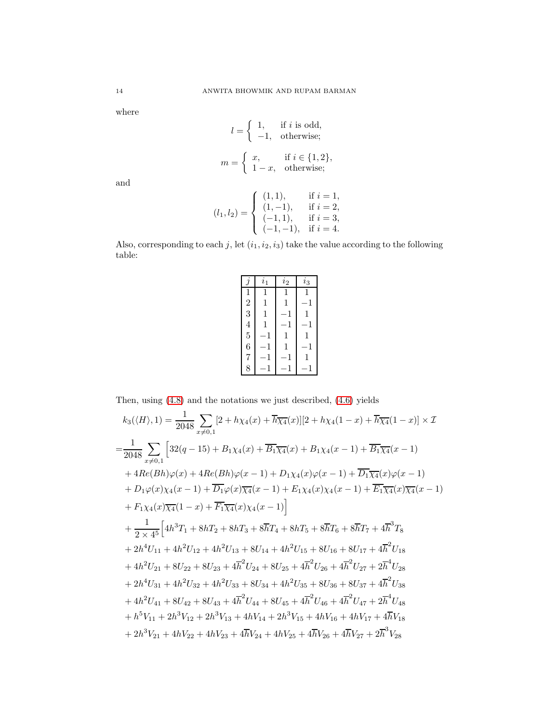where

$$
l = \begin{cases} 1, & \text{if } i \text{ is odd,} \\ -1, & \text{otherwise;} \end{cases}
$$
\n
$$
m = \begin{cases} x, & \text{if } i \in \{1, 2\}, \\ 1 - x, & \text{otherwise;} \end{cases}
$$

and

$$
(l_1, l_2) = \begin{cases} (1, 1), & \text{if } i = 1, \\ (1, -1), & \text{if } i = 2, \\ (-1, 1), & \text{if } i = 3, \\ (-1, -1), & \text{if } i = 4. \end{cases}
$$

Also, corresponding to each j, let  $(i_1, i_2, i_3)$  take the value according to the following table:

|                | $\imath_1$ | $\iota_2$ | $i_3$ |
|----------------|------------|-----------|-------|
| 1              |            |           |       |
| $\frac{2}{3}$  | 1          | 1         | $-1$  |
|                | 1          | -1        | 1     |
| $\overline{4}$ | 1          | 1         | $-1$  |
| $\overline{5}$ | $-1$       | 1         | 1     |
| 6              | 1          | 1         | $-1$  |
| $\overline{7}$ | 1          | $-1$      | 1     |
| 8              |            |           |       |

Then, using [\(4.8\)](#page-12-1) and the notations we just described, [\(4.6\)](#page-11-2) yields

$$
k_{3}(\langle H \rangle, 1) = \frac{1}{2048} \sum_{x \neq 0,1} [2 + h\chi_{4}(x) + \overline{h}\overline{\chi_{4}}(x)][2 + h\chi_{4}(1 - x) + \overline{h}\overline{\chi_{4}}(1 - x)] \times \mathcal{I}
$$
  
\n
$$
= \frac{1}{2048} \sum_{x \neq 0,1} [32(q - 15) + B_{1}\chi_{4}(x) + \overline{B_{1}\chi_{4}}(x) + B_{1}\chi_{4}(x - 1) + \overline{B_{1}\chi_{4}}(x - 1)
$$
  
\n
$$
+ 4Re(Bh)\varphi(x) + 4Re(Bh)\varphi(x - 1) + D_{1}\chi_{4}(x)\varphi(x - 1) + \overline{D_{1}\chi_{4}}(x)\varphi(x - 1)
$$
  
\n
$$
+ D_{1}\varphi(x)\chi_{4}(x - 1) + \overline{D_{1}\varphi}(x)\overline{\chi_{4}}(x - 1) + E_{1}\chi_{4}(x)\chi_{4}(x - 1) + \overline{E_{1}\chi_{4}}(x)\overline{\chi_{4}}(x - 1)
$$
  
\n
$$
+ F_{1}\chi_{4}(x)\overline{\chi_{4}}(1 - x) + \overline{F_{1}\chi_{4}}(x)\chi_{4}(x - 1)]
$$
  
\n
$$
+ \frac{1}{2 \times 4^{5}} [4h^{3}T_{1} + 8hT_{2} + 8hT_{3} + 8\overline{h}T_{4} + 8hT_{5} + 8\overline{h}T_{6} + 8\overline{h}T_{7} + 4\overline{h}^{3}T_{8}
$$
  
\n
$$
+ 2h^{4}U_{11} + 4h^{2}U_{12} + 4h^{2}U_{13} + 8U_{14} + 4h^{2}U_{15} + 8U_{16} + 8U_{17} + 4\overline{h}^{2}U_{18}
$$
  
\n
$$
+ 4h^{2}U_{21} + 8U_{22} + 8U_{23} + 4\overline{h}^{2}U_{24} + 8U_{25} + 4\overline{h}^{2}U_{26} + 4\overline{h}^{2}U_{27
$$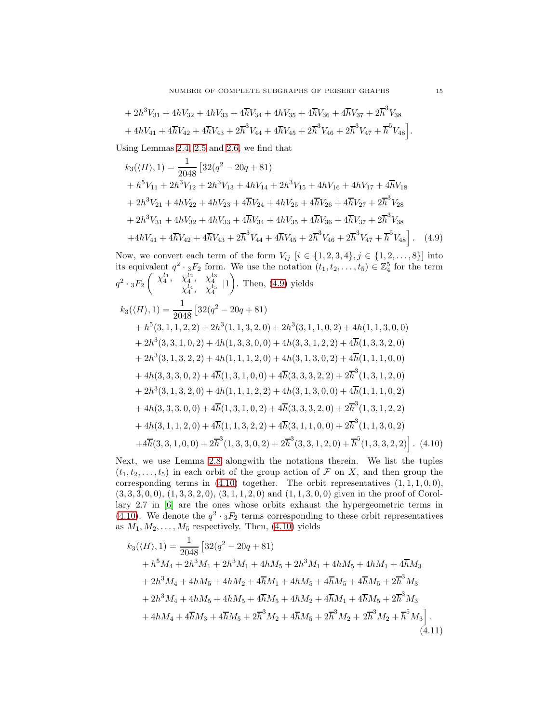$$
+ 2h3V31 + 4hV32 + 4hV33 + 4\overline{h}V34 + 4hV35 + 4\overline{h}V36 + 4\overline{h}V37 + 2\overline{h}3V38+ 4hV41 + 4\overline{h}V42 + 4\overline{h}V43 + 2\overline{h}3V44 + 4\overline{h}V45 + 2\overline{h}3V46 + 2\overline{h}3V47 + \overline{h}5V48.
$$

Using Lemmas [2.4,](#page-5-2) [2.5](#page-5-4) and [2.6,](#page-5-5) we find that

<span id="page-14-0"></span>
$$
k_3(\langle H \rangle, 1) = \frac{1}{2048} \left[ 32(q^2 - 20q + 81) + h^5 V_{11} + 2h^3 V_{12} + 2h^3 V_{13} + 4h V_{14} + 2h^3 V_{15} + 4h V_{16} + 4h V_{17} + 4\overline{h}V_{18} + 2h^3 V_{21} + 4h V_{22} + 4h V_{23} + 4\overline{h}V_{24} + 4h V_{25} + 4\overline{h}V_{26} + 4\overline{h}V_{27} + 2\overline{h}^3 V_{28} + 2h^3 V_{31} + 4h V_{32} + 4h V_{33} + 4\overline{h}V_{34} + 4h V_{35} + 4\overline{h}V_{36} + 4\overline{h}V_{37} + 2\overline{h}^3 V_{38} + 4h V_{41} + 4\overline{h}V_{42} + 4\overline{h}V_{43} + 2\overline{h}^3 V_{44} + 4\overline{h}V_{45} + 2\overline{h}^3 V_{46} + 2\overline{h}^3 V_{47} + \overline{h}^5 V_{48} \right].
$$
 (4.9)

Now, we convert each term of the form  $V_{ij}$   $[i \in \{1, 2, 3, 4\}, j \in \{1, 2, ..., 8\}]$  into its equivalent  $q^2 \cdot {}_{3}F_2$  form. We use the notation  $(t_1, t_2, \ldots, t_5) \in \mathbb{Z}_4^5$  for the term  $q^2 \cdot {}_3F_2$  $\begin{pmatrix} \chi_4^{t_1}, \chi_4^{t_2}, \chi_4^{t_3} \\ \chi_4^{t_4}, \chi_4^{t_5} \end{pmatrix}$  $\overline{\phantom{0}}$ . Then, [\(4.9\)](#page-14-0) yields  $k_3(\langle H \rangle, 1) = \frac{1}{2048}$  $[32(q^2-20q+81)$  $+h<sup>5</sup>(3, 1, 1, 2, 2) + 2h<sup>3</sup>(1, 1, 3, 2, 0) + 2h<sup>3</sup>(3, 1, 1, 0, 2) + 4h(1, 1, 3, 0, 0)$  $+ 2h^3(3,3,1,0,2) + 4h(1,3,3,0,0) + 4h(3,3,1,2,2) + 4\overline{h}(1,3,3,2,0)$  $+ 2h^3(3, 1, 3, 2, 2) + 4h(1, 1, 1, 2, 0) + 4h(3, 1, 3, 0, 2) + 4\overline{h}(1, 1, 1, 0, 0)$ 

<span id="page-14-1"></span>+ 
$$
4h(3,3,3,0,2) + 4\overline{h}(1,3,1,0,0) + 4\overline{h}(3,3,3,2,2) + 2\overline{h}^3(1,3,1,2,0)
$$
  
+  $2h^3(3,1,3,2,0) + 4h(1,1,1,2,2) + 4h(3,1,3,0,0) + 4\overline{h}(1,1,1,0,2)$   
+  $4h(3,3,3,0,0) + 4\overline{h}(1,3,1,0,2) + 4\overline{h}(3,3,3,2,0) + 2\overline{h}^3(1,3,1,2,2)$   
+  $4h(3,1,1,2,0) + 4\overline{h}(1,1,3,2,2) + 4\overline{h}(3,1,1,0,0) + 2\overline{h}^3(1,1,3,0,2)$   
+  $4\overline{h}(3,3,1,0,0) + 2\overline{h}^3(1,3,3,0,2) + 2\overline{h}^3(3,3,1,2,0) + \overline{h}^5(1,3,3,2,2)$  (4.10)

Next, we use Lemma [2.8](#page-8-1) alongwith the notations therein. We list the tuples  $(t_1, t_2, \ldots, t_5)$  in each orbit of the group action of F on X, and then group the corresponding terms in  $(4.10)$  together. The orbit representatives  $(1, 1, 1, 0, 0)$ ,  $(3, 3, 3, 0, 0), (1, 3, 3, 2, 0), (3, 1, 1, 2, 0)$  and  $(1, 1, 3, 0, 0)$  given in the proof of Corollary 2.7 in [\[6\]](#page-18-10) are the ones whose orbits exhaust the hypergeometric terms in [\(4.10\)](#page-14-1). We denote the  $q^2 \tcdot {}_{3}F_2$  terms corresponding to these orbit representatives as  $M_1, M_2, \ldots, M_5$  respectively. Then, [\(4.10\)](#page-14-1) yields

<span id="page-14-2"></span>
$$
k_3(\langle H \rangle, 1) = \frac{1}{2048} \left[ 32(q^2 - 20q + 81) + h^5 M_4 + 2h^3 M_1 + 2h^3 M_1 + 4h M_5 + 2h^3 M_1 + 4h M_5 + 4h M_1 + 4\overline{h} M_3 + 2h^3 M_4 + 4h M_5 + 4\overline{h} M_1 + 4h M_5 + 4\overline{h} M_5 + 4\overline{h} M_5 + 2\overline{h}^3 M_3 + 2h^3 M_4 + 4h M_5 + 4h M_5 + 4\overline{h} M_5 + 4h M_2 + 4\overline{h} M_1 + 4\overline{h} M_5 + 2\overline{h}^3 M_3 + 4h M_4 + 4\overline{h} M_3 + 4\overline{h} M_5 + 2\overline{h}^3 M_2 + 4\overline{h} M_5 + 2\overline{h}^3 M_2 + 2\overline{h}^3 M_2 + \overline{h}^5 M_3 \right].
$$
\n(4.11)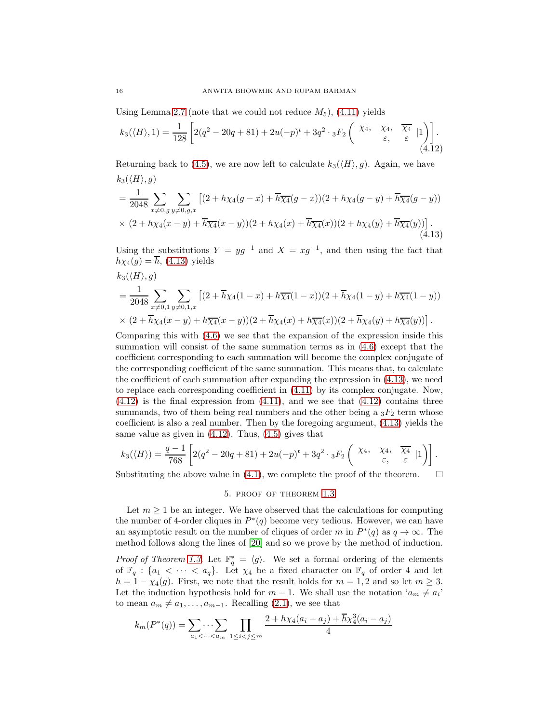Using Lemma [2.7](#page-6-2) (note that we could not reduce  $M_5$ ), [\(4.11\)](#page-14-2) yields

<span id="page-15-1"></span>
$$
k_3(\langle H \rangle, 1) = \frac{1}{128} \left[ 2(q^2 - 20q + 81) + 2u(-p)^t + 3q^2 \cdot {}_3F_2 \left( \begin{array}{ccc} \chi_4, & \chi_4, & \overline{\chi_4} \\ \varepsilon, & \varepsilon \end{array} \bigg| 1 \right) \right].
$$
\n(4.12)

Returning back to [\(4.5\)](#page-11-3), we are now left to calculate  $k_3(\langle H \rangle, g)$ . Again, we have  $k_3(\langle H \rangle, g)$ 

<span id="page-15-0"></span>
$$
= \frac{1}{2048} \sum_{x \neq 0, g} \sum_{y \neq 0, g, x} \left[ (2 + h\chi_4(g - x) + \overline{h}\overline{\chi_4}(g - x)) (2 + h\chi_4(g - y) + \overline{h}\overline{\chi_4}(g - y)) \right] \times (2 + h\chi_4(x - y) + \overline{h}\overline{\chi_4}(x - y)) (2 + h\chi_4(x) + \overline{h}\overline{\chi_4}(x)) (2 + h\chi_4(y) + \overline{h}\overline{\chi_4}(y)) \right].
$$
\n(4.13)

Using the substitutions  $Y = yg^{-1}$  and  $X = xg^{-1}$ , and then using the fact that  $h\chi_4(g) = \overline{h}$ , [\(4.13\)](#page-15-0) yields

$$
k_3(\langle H \rangle, g)
$$
  
=  $\frac{1}{2048} \sum_{x \neq 0, 1} \sum_{y \neq 0, 1, x} \left[ (2 + \overline{h} \chi_4 (1 - x) + h \overline{\chi_4} (1 - x)) (2 + \overline{h} \chi_4 (1 - y) + h \overline{\chi_4} (1 - y)) \right]$   
 $\times (2 + \overline{h} \chi_4 (x - y) + h \overline{\chi_4} (x - y)) (2 + \overline{h} \chi_4 (x) + h \overline{\chi_4} (x)) (2 + \overline{h} \chi_4 (y) + h \overline{\chi_4} (y)) \right].$ 

Comparing this with [\(4.6\)](#page-11-2) we see that the expansion of the expression inside this summation will consist of the same summation terms as in [\(4.6\)](#page-11-2) except that the coefficient corresponding to each summation will become the complex conjugate of the corresponding coefficient of the same summation. This means that, to calculate the coefficient of each summation after expanding the expression in [\(4.13\)](#page-15-0), we need to replace each corresponding coefficient in [\(4.11\)](#page-14-2) by its complex conjugate. Now,  $(4.12)$  is the final expression from  $(4.11)$ , and we see that  $(4.12)$  contains three summands, two of them being real numbers and the other being a  ${}_{3}F_{2}$  term whose coefficient is also a real number. Then by the foregoing argument, [\(4.13\)](#page-15-0) yields the same value as given in  $(4.12)$ . Thus,  $(4.5)$  gives that

$$
k_3(\langle H \rangle) = \frac{q-1}{768} \left[ 2(q^2 - 20q + 81) + 2u(-p)^t + 3q^2 \cdot {}_3F_2 \left( \begin{array}{ccc} \chi_4, & \chi_4, & \overline{\chi_4} \\ \varepsilon, & \varepsilon \end{array} | 1 \right) \right].
$$

Substituting the above value in [\(4.1\)](#page-10-2), we complete the proof of the theorem.  $\Box$ 

#### 5. proof of theorem [1](#page-3-1).3

Let  $m \geq 1$  be an integer. We have observed that the calculations for computing the number of 4-order cliques in  $P^*(q)$  become very tedious. However, we can have an asymptotic result on the number of cliques of order m in  $P^*(q)$  as  $q \to \infty$ . The method follows along the lines of [\[20\]](#page-19-4) and so we prove by the method of induction.

*Proof of Theorem [1.3.](#page-3-1)* Let  $\mathbb{F}_q^* = \langle g \rangle$ . We set a formal ordering of the elements of  $\mathbb{F}_q$ :  $\{a_1 < \cdots < a_q\}$ . Let  $\chi_4$  be a fixed character on  $\mathbb{F}_q$  of order 4 and let  $h = 1 - \chi_4(g)$ . First, we note that the result holds for  $m = 1, 2$  and so let  $m \geq 3$ . Let the induction hypothesis hold for  $m-1$ . We shall use the notation ' $a_m \neq a_i$ ' to mean  $a_m \neq a_1, \ldots, a_{m-1}$ . Recalling [\(2.1\)](#page-3-2), we see that

$$
k_m(P^*(q)) = \sum_{a_1 < \dots < a_m} \prod_{1 \leq i < j \leq m} \frac{2 + h\chi_4(a_i - a_j) + \overline{h}\chi_4^3(a_i - a_j)}{4}
$$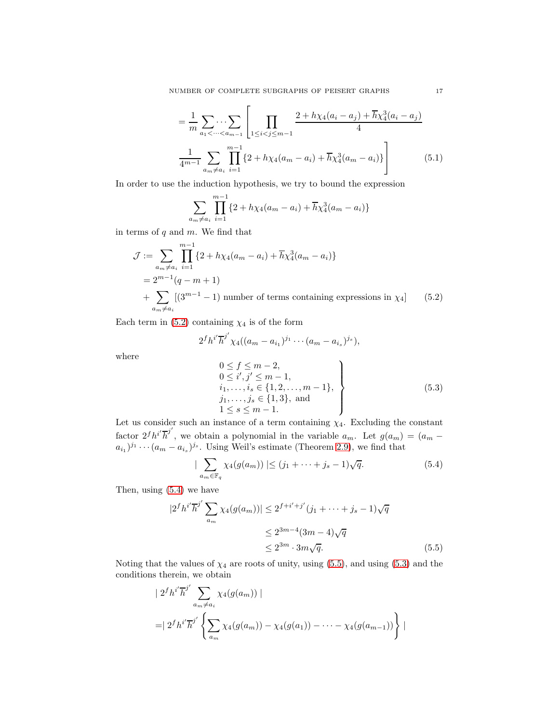NUMBER OF COMPLETE SUBGRAPHS OF PEISERT GRAPHS 17

$$
= \frac{1}{m} \sum_{a_1 < \dots < a_{m-1}} \left[ \prod_{1 \leq i < j \leq m-1} \frac{2 + h \chi_4(a_i - a_j) + \overline{h} \chi_4^3(a_i - a_j)}{4} \right]
$$
\n
$$
\frac{1}{4^{m-1}} \sum_{a_m \neq a_i} \prod_{i=1}^{m-1} \left\{ 2 + h \chi_4(a_m - a_i) + \overline{h} \chi_4^3(a_m - a_i) \right\} \right] \tag{5.1}
$$

In order to use the induction hypothesis, we try to bound the expression

<span id="page-16-4"></span>
$$
\sum_{a_m \neq a_i} \prod_{i=1}^{m-1} \{2 + h\chi_4(a_m - a_i) + \overline{h}\chi_4^3(a_m - a_i)\}
$$

in terms of  $q$  and  $m$ . We find that

$$
\mathcal{J} := \sum_{\substack{a_m \neq a_i}} \prod_{i=1}^{m-1} \{2 + h\chi_4(a_m - a_i) + \overline{h}\chi_4^3(a_m - a_i)\}
$$
  
=  $2^{m-1}(q - m + 1)$   
+  $\sum_{a_m \neq a_i} [(3^{m-1} - 1) \text{ number of terms containing expressions in } \chi_4]$  (5.2)

Each term in [\(5.2\)](#page-16-0) containing  $\chi_4$  is of the form

$$
2fhj' \overline{h}^{j'} \chi_4((a_m - a_{i_1})^{j_1} \cdots (a_m - a_{i_s})^{j_s}),
$$

where

<span id="page-16-3"></span><span id="page-16-1"></span><span id="page-16-0"></span>
$$
0 \le f \le m-2,\n0 \le i', j' \le m-1,\n i1,..., is \in \{1, 2,..., m-1\},\n j1,..., js \in \{1,3\}, and\n1 \le s \le m-1.
$$
\n(5.3)

Let us consider such an instance of a term containing  $\chi_4$ . Excluding the constant factor  $2^f h^{i'} \overline{h}^{j'}$ , we obtain a polynomial in the variable  $a_m$ . Let  $g(a_m) = (a_m$  $a_{i_1}$ )<sup>*j*</sup> · · ·  $(a_m - a_{i_s})$ <sup>*j*</sup> · · · Using Weil's estimate (Theorem [2.9\)](#page-9-5), we find that

<span id="page-16-2"></span>
$$
|\sum_{a_m \in \mathbb{F}_q} \chi_4(g(a_m))| \le (j_1 + \dots + j_s - 1)\sqrt{q}.\tag{5.4}
$$

Then, using [\(5.4\)](#page-16-1) we have

$$
|2^{f}h^{i'}\overline{h}^{j'}\sum_{a_{m}}\chi_{4}(g(a_{m}))| \leq 2^{f+i'+j'}(j_{1} + \cdots + j_{s} - 1)\sqrt{q}
$$
  

$$
\leq 2^{3m-4}(3m-4)\sqrt{q}
$$
  

$$
\leq 2^{3m} \cdot 3m\sqrt{q}.
$$
 (5.5)

Noting that the values of  $\chi_4$  are roots of unity, using [\(5.5\)](#page-16-2), and using [\(5.3\)](#page-16-3) and the conditions therein, we obtain

$$
\begin{aligned} &+ 2^f h^{i'} \overline{h}^{j'} \sum_{a_m \neq a_i} \chi_4(g(a_m)) \mid \\ &= \mid 2^f h^{i'} \overline{h}^{j'} \left\{ \sum_{a_m} \chi_4(g(a_m)) - \chi_4(g(a_1)) - \dots - \chi_4(g(a_{m-1})) \right\} \mid \end{aligned}
$$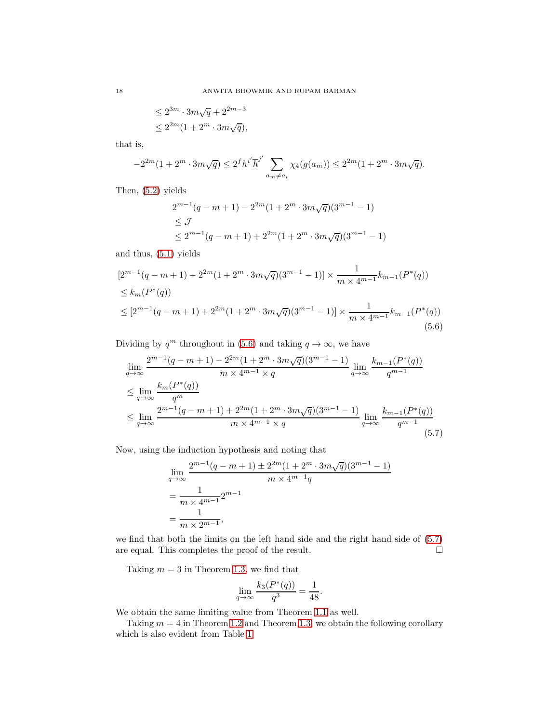$$
\leq 2^{3m}\cdot 3m\sqrt{q}+2^{2m-3}
$$
  

$$
\leq 2^{2m}(1+2^m\cdot 3m\sqrt{q}),
$$

that is,

$$
-2^{2m}(1+2^m \cdot 3m\sqrt{q}) \le 2^f h^{i'} \overline{h}^{j'} \sum_{a_m \ne a_i} \chi_4(g(a_m)) \le 2^{2m}(1+2^m \cdot 3m\sqrt{q}).
$$

Then, [\(5.2\)](#page-16-0) yields

<span id="page-17-0"></span>
$$
2^{m-1}(q-m+1) - 2^{2m}(1+2^m \cdot 3m\sqrt{q})(3^{m-1}-1)
$$
  
\n
$$
\leq J
$$
  
\n
$$
\leq 2^{m-1}(q-m+1) + 2^{2m}(1+2^m \cdot 3m\sqrt{q})(3^{m-1}-1)
$$

and thus, [\(5.1\)](#page-16-4) yields

$$
[2^{m-1}(q-m+1) - 2^{2m}(1+2^m \cdot 3m\sqrt{q})(3^{m-1} - 1)] \times \frac{1}{m \times 4^{m-1}} k_{m-1}(P^*(q))
$$
  
\n
$$
\leq k_m(P^*(q))
$$
  
\n
$$
\leq [2^{m-1}(q-m+1) + 2^{2m}(1+2^m \cdot 3m\sqrt{q})(3^{m-1} - 1)] \times \frac{1}{m \times 4^{m-1}} k_{m-1}(P^*(q))
$$
  
\n(5.6)

Dividing by  $q^m$  throughout in [\(5.6\)](#page-17-0) and taking  $q \to \infty$ , we have

$$
\lim_{q \to \infty} \frac{2^{m-1}(q-m+1) - 2^{2m}(1+2^m \cdot 3m\sqrt{q})(3^{m-1}-1)}{m \times 4^{m-1} \times q} \lim_{q \to \infty} \frac{k_{m-1}(P^*(q))}{q^{m-1}}
$$
\n
$$
\leq \lim_{q \to \infty} \frac{k_m(P^*(q))}{q^m}
$$
\n
$$
\leq \lim_{q \to \infty} \frac{2^{m-1}(q-m+1) + 2^{2m}(1+2^m \cdot 3m\sqrt{q})(3^{m-1}-1)}{m \times 4^{m-1} \times q} \lim_{q \to \infty} \frac{k_{m-1}(P^*(q))}{q^{m-1}}
$$
\n(5.7)

Now, using the induction hypothesis and noting that

$$
\lim_{q \to \infty} \frac{2^{m-1}(q-m+1) \pm 2^{2m}(1+2^m \cdot 3m\sqrt{q})(3^{m-1}-1)}{m \times 4^{m-1}q}
$$
\n
$$
= \frac{1}{m \times 4^{m-1}} 2^{m-1}
$$
\n
$$
= \frac{1}{m \times 2^{m-1}},
$$

we find that both the limits on the left hand side and the right hand side of [\(5.7\)](#page-17-1) are equal. This completes the proof of the result.  $\hfill \Box$ 

Taking  $m = 3$  in Theorem [1.3,](#page-3-1) we find that

<span id="page-17-1"></span>
$$
\lim_{q \to \infty} \frac{k_3(P^*(q))}{q^3} = \frac{1}{48}.
$$

We obtain the same limiting value from Theorem [1.1](#page-2-1) as well.

Taking  $m = 4$  in Theorem [1.2](#page-2-0) and Theorem [1.3,](#page-3-1) we obtain the following corollary which is also evident from Table [1.](#page-3-0)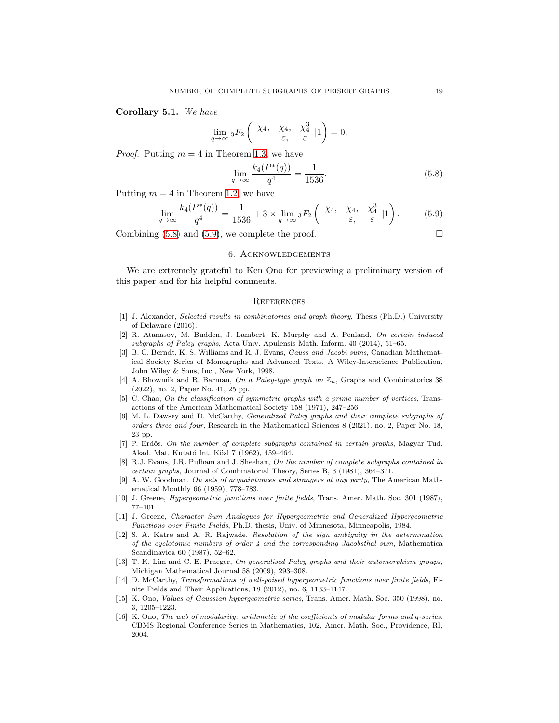Corollary 5.1. *We have*

$$
\lim_{q \to \infty} {}_{3}F_{2}\left( \begin{array}{cc} \chi_4, & \chi_4, & \chi_4^3 \\ \varepsilon, & \varepsilon \end{array} \Big| 1 \right) = 0.
$$

*Proof.* Putting  $m = 4$  in Theorem [1.3,](#page-3-1) we have

<span id="page-18-16"></span>
$$
\lim_{q \to \infty} \frac{k_4(P^*(q))}{q^4} = \frac{1}{1536}.
$$
\n(5.8)

Putting  $m = 4$  in Theorem [1.2,](#page-2-0) we have

$$
\lim_{q \to \infty} \frac{k_4(P^*(q))}{q^4} = \frac{1}{1536} + 3 \times \lim_{q \to \infty} {}_3F_2 \left( \begin{array}{ccc} \chi_4, & \chi_4, & \chi_4^3 \\ \varepsilon, & \varepsilon \end{array} \big| 1 \right). \tag{5.9}
$$

Combining  $(5.8)$  and  $(5.9)$ , we complete the proof.

### 6. Acknowledgements

We are extremely grateful to Ken Ono for previewing a preliminary version of this paper and for his helpful comments.

#### <span id="page-18-17"></span>**REFERENCES**

- <span id="page-18-12"></span>[1] J. Alexander, Selected results in combinatorics and graph theory, Thesis (Ph.D.) University of Delaware (2016).
- <span id="page-18-8"></span>[2] R. Atanasov, M. Budden, J. Lambert, K. Murphy and A. Penland, On certain induced subgraphs of Paley graphs, Acta Univ. Apulensis Math. Inform. 40 (2014), 51–65.
- <span id="page-18-15"></span>[3] B. C. Berndt, K. S. Williams and R. J. Evans, Gauss and Jacobi sums, Canadian Mathematical Society Series of Monographs and Advanced Texts, A Wiley-Interscience Publication, John Wiley & Sons, Inc., New York, 1998.
- <span id="page-18-11"></span>[4] A. Bhowmik and R. Barman, On a Paley-type graph on  $\mathbb{Z}_n$ , Graphs and Combinatorics 38 (2022), no. 2, Paper No. 41, 25 pp.
- <span id="page-18-4"></span>[5] C. Chao, On the classification of symmetric graphs with a prime number of vertices, Transactions of the American Mathematical Society 158 (1971), 247–256.
- <span id="page-18-10"></span>[6] M. L. Dawsey and D. McCarthy, Generalized Paley graphs and their complete subgraphs of orders three and four, Research in the Mathematical Sciences 8 (2021), no. 2, Paper No. 18, 23 pp.
- <span id="page-18-5"></span>[7] P. Erdös, On the number of complete subgraphs contained in certain graphs, Magyar Tud. Akad. Mat. Kutató Int. Közl 7 (1962), 459–464.
- <span id="page-18-7"></span>[8] R.J. Evans, J.R. Pulham and J. Sheehan, On the number of complete subgraphs contained in certain graphs, Journal of Combinatorial Theory, Series B, 3 (1981), 364–371.
- <span id="page-18-6"></span>[9] A. W. Goodman, On sets of acquaintances and strangers at any party, The American Mathematical Monthly 66 (1959), 778–783.
- <span id="page-18-1"></span><span id="page-18-0"></span>[10] J. Greene, Hypergeometric functions over finite fields, Trans. Amer. Math. Soc. 301 (1987), 77–101.
- [11] J. Greene, Character Sum Analogues for Hypergeometric and Generalized Hypergeometric Functions over Finite Fields, Ph.D. thesis, Univ. of Minnesota, Minneapolis, 1984.
- <span id="page-18-14"></span>[12] S. A. Katre and A. R. Rajwade, Resolution of the sign ambiguity in the determination of the cyclotomic numbers of order 4 and the corresponding Jacobsthal sum, Mathematica Scandinavica 60 (1987), 52–62.
- <span id="page-18-9"></span>[13] T. K. Lim and C. E. Praeger, On generalised Paley graphs and their automorphism groups, Michigan Mathematical Journal 58 (2009), 293–308.
- <span id="page-18-2"></span>[14] D. McCarthy, Transformations of well-poised hypergeometric functions over finite fields, Finite Fields and Their Applications, 18 (2012), no. 6, 1133–1147.
- <span id="page-18-13"></span>[15] K. Ono, Values of Gaussian hypergeometric series, Trans. Amer. Math. Soc. 350 (1998), no. 3, 1205–1223.
- <span id="page-18-3"></span>[16] K. Ono, The web of modularity: arithmetic of the coefficients of modular forms and q-series, CBMS Regional Conference Series in Mathematics, 102, Amer. Math. Soc., Providence, RI, 2004.